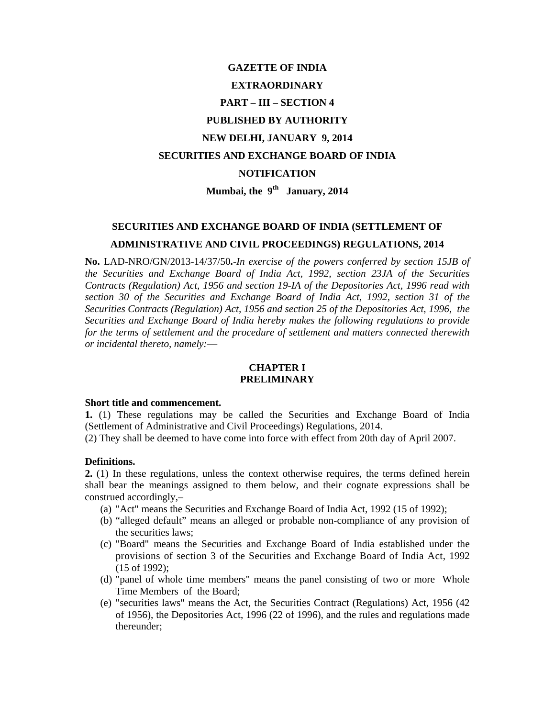# **GAZETTE OF INDIA EXTRAORDINARY PART – III – SECTION 4 PUBLISHED BY AUTHORITY NEW DELHI, JANUARY 9, 2014 SECURITIES AND EXCHANGE BOARD OF INDIA NOTIFICATION Mumbai, the 9th January, 2014**

# **SECURITIES AND EXCHANGE BOARD OF INDIA (SETTLEMENT OF ADMINISTRATIVE AND CIVIL PROCEEDINGS) REGULATIONS, 2014**

**No.** LAD-NRO/GN/2013-14/37/50**.***-In exercise of the powers conferred by section 15JB of the Securities and Exchange Board of India Act, 1992, section 23JA of the Securities Contracts (Regulation) Act, 1956 and section 19-IA of the Depositories Act, 1996 read with section 30 of the Securities and Exchange Board of India Act, 1992, section 31 of the Securities Contracts (Regulation) Act, 1956 and section 25 of the Depositories Act, 1996, the Securities and Exchange Board of India hereby makes the following regulations to provide for the terms of settlement and the procedure of settlement and matters connected therewith or incidental thereto, namely:*—

### **CHAPTER I PRELIMINARY**

#### **Short title and commencement.**

**1.** (1) These regulations may be called the Securities and Exchange Board of India (Settlement of Administrative and Civil Proceedings) Regulations, 2014.

(2) They shall be deemed to have come into force with effect from 20th day of April 2007.

#### **Definitions.**

**2.** (1) In these regulations, unless the context otherwise requires, the terms defined herein shall bear the meanings assigned to them below, and their cognate expressions shall be construed accordingly,–

- (a) "Act" means the Securities and Exchange Board of India Act, 1992 (15 of 1992);
- (b) "alleged default" means an alleged or probable non-compliance of any provision of the securities laws;
- (c) "Board" means the Securities and Exchange Board of India established under the provisions of section 3 of the Securities and Exchange Board of India Act, 1992 (15 of 1992);
- (d) "panel of whole time members" means the panel consisting of two or more Whole Time Members of the Board;
- (e) "securities laws" means the Act, the Securities Contract (Regulations) Act, 1956 (42 of 1956), the Depositories Act, 1996 (22 of 1996), and the rules and regulations made thereunder;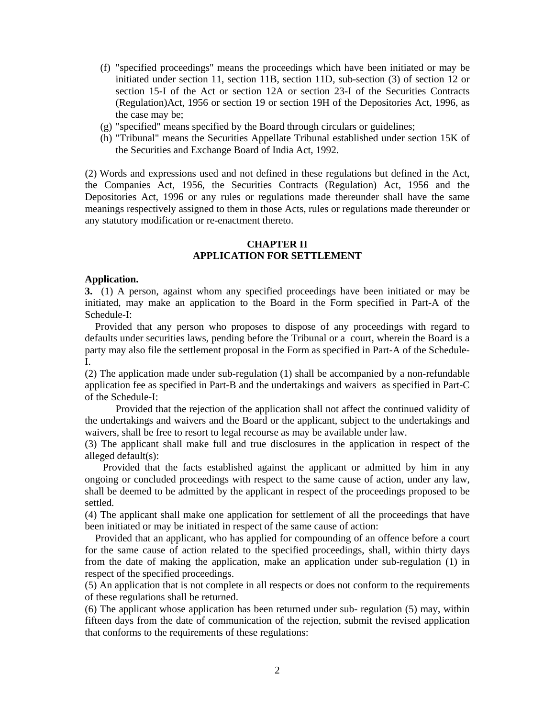- (f) "specified proceedings" means the proceedings which have been initiated or may be initiated under section 11, section 11B, section 11D, sub-section (3) of section 12 or section 15-I of the Act or section 12A or section 23-I of the Securities Contracts (Regulation)Act, 1956 or section 19 or section 19H of the Depositories Act, 1996, as the case may be;
- (g) "specified" means specified by the Board through circulars or guidelines;
- (h) "Tribunal" means the Securities Appellate Tribunal established under section 15K of the Securities and Exchange Board of India Act, 1992.

(2) Words and expressions used and not defined in these regulations but defined in the Act, the Companies Act, 1956, the Securities Contracts (Regulation) Act, 1956 and the Depositories Act, 1996 or any rules or regulations made thereunder shall have the same meanings respectively assigned to them in those Acts, rules or regulations made thereunder or any statutory modification or re-enactment thereto.

#### **CHAPTER II APPLICATION FOR SETTLEMENT**

#### **Application.**

**3.** (1) A person, against whom any specified proceedings have been initiated or may be initiated, may make an application to the Board in the Form specified in Part-A of the Schedule-I:

 Provided that any person who proposes to dispose of any proceedings with regard to defaults under securities laws, pending before the Tribunal or a court, wherein the Board is a party may also file the settlement proposal in the Form as specified in Part-A of the Schedule-I.

(2) The application made under sub-regulation (1) shall be accompanied by a non-refundable application fee as specified in Part-B and the undertakings and waivers as specified in Part-C of the Schedule-I:

 Provided that the rejection of the application shall not affect the continued validity of the undertakings and waivers and the Board or the applicant, subject to the undertakings and waivers, shall be free to resort to legal recourse as may be available under law.

(3) The applicant shall make full and true disclosures in the application in respect of the alleged default(s):

 Provided that the facts established against the applicant or admitted by him in any ongoing or concluded proceedings with respect to the same cause of action, under any law, shall be deemed to be admitted by the applicant in respect of the proceedings proposed to be settled.

(4) The applicant shall make one application for settlement of all the proceedings that have been initiated or may be initiated in respect of the same cause of action:

 Provided that an applicant, who has applied for compounding of an offence before a court for the same cause of action related to the specified proceedings, shall, within thirty days from the date of making the application, make an application under sub-regulation (1) in respect of the specified proceedings.

(5) An application that is not complete in all respects or does not conform to the requirements of these regulations shall be returned.

(6) The applicant whose application has been returned under sub- regulation (5) may, within fifteen days from the date of communication of the rejection, submit the revised application that conforms to the requirements of these regulations: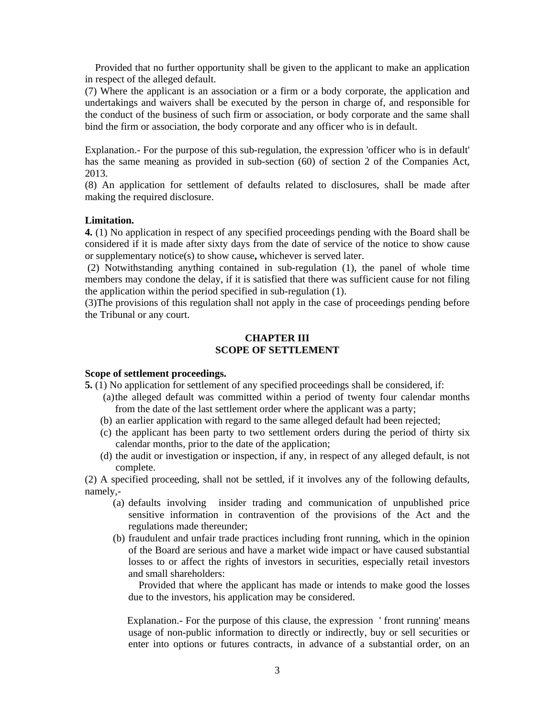Provided that no further opportunity shall be given to the applicant to make an application in respect of the alleged default.

(7) Where the applicant is an association or a firm or a body corporate, the application and undertakings and waivers shall be executed by the person in charge of, and responsible for the conduct of the business of such firm or association, or body corporate and the same shall bind the firm or association, the body corporate and any officer who is in default.

Explanation.- For the purpose of this sub-regulation, the expression 'officer who is in default' has the same meaning as provided in sub-section (60) of section 2 of the Companies Act, 2013.

(8) An application for settlement of defaults related to disclosures, shall be made after making the required disclosure.

### **Limitation.**

**4.** (1) No application in respect of any specified proceedings pending with the Board shall be considered if it is made after sixty days from the date of service of the notice to show cause or supplementary notice(s) to show cause**,** whichever is served later.

 (2) Notwithstanding anything contained in sub-regulation (1), the panel of whole time members may condone the delay, if it is satisfied that there was sufficient cause for not filing the application within the period specified in sub-regulation (1).

(3)The provisions of this regulation shall not apply in the case of proceedings pending before the Tribunal or any court.

#### **CHAPTER III SCOPE OF SETTLEMENT**

#### **Scope of settlement proceedings.**

**5.** (1) No application for settlement of any specified proceedings shall be considered, if:

- (a) the alleged default was committed within a period of twenty four calendar months from the date of the last settlement order where the applicant was a party;
- (b) an earlier application with regard to the same alleged default had been rejected;
- (c) the applicant has been party to two settlement orders during the period of thirty six calendar months, prior to the date of the application;
- (d) the audit or investigation or inspection, if any, in respect of any alleged default, is not complete.

(2) A specified proceeding, shall not be settled, if it involves any of the following defaults, namely,-

- (a) defaults involving insider trading and communication of unpublished price sensitive information in contravention of the provisions of the Act and the regulations made thereunder;
- (b) fraudulent and unfair trade practices including front running, which in the opinion of the Board are serious and have a market wide impact or have caused substantial losses to or affect the rights of investors in securities, especially retail investors and small shareholders:

 Provided that where the applicant has made or intends to make good the losses due to the investors, his application may be considered.

Explanation.- For the purpose of this clause, the expression ' front running' means usage of non-public information to directly or indirectly, buy or sell securities or enter into options or futures contracts, in advance of a substantial order, on an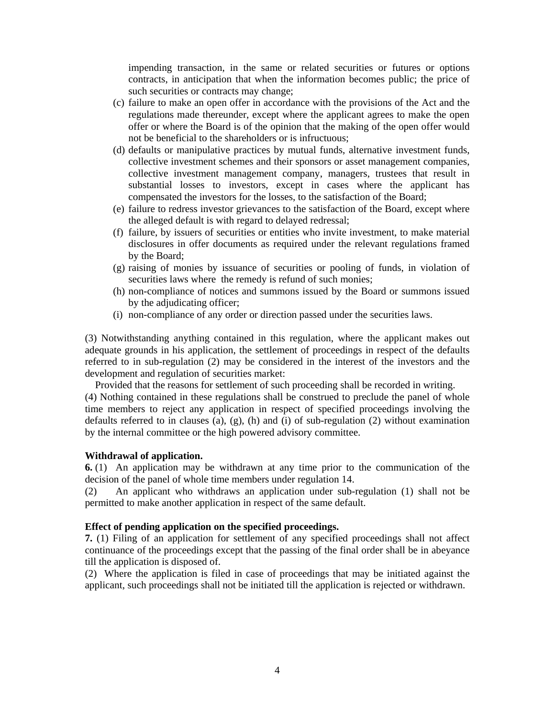impending transaction, in the same or related securities or futures or options contracts, in anticipation that when the information becomes public; the price of such securities or contracts may change;

- (c) failure to make an open offer in accordance with the provisions of the Act and the regulations made thereunder, except where the applicant agrees to make the open offer or where the Board is of the opinion that the making of the open offer would not be beneficial to the shareholders or is infructuous;
- (d) defaults or manipulative practices by mutual funds, alternative investment funds, collective investment schemes and their sponsors or asset management companies, collective investment management company, managers, trustees that result in substantial losses to investors, except in cases where the applicant has compensated the investors for the losses, to the satisfaction of the Board;
- (e) failure to redress investor grievances to the satisfaction of the Board, except where the alleged default is with regard to delayed redressal;
- (f) failure, by issuers of securities or entities who invite investment, to make material disclosures in offer documents as required under the relevant regulations framed by the Board;
- (g) raising of monies by issuance of securities or pooling of funds, in violation of securities laws where the remedy is refund of such monies;
- (h) non-compliance of notices and summons issued by the Board or summons issued by the adjudicating officer;
- (i) non-compliance of any order or direction passed under the securities laws.

(3) Notwithstanding anything contained in this regulation, where the applicant makes out adequate grounds in his application, the settlement of proceedings in respect of the defaults referred to in sub-regulation (2) may be considered in the interest of the investors and the development and regulation of securities market:

 Provided that the reasons for settlement of such proceeding shall be recorded in writing. (4) Nothing contained in these regulations shall be construed to preclude the panel of whole time members to reject any application in respect of specified proceedings involving the defaults referred to in clauses (a),  $(g)$ , (h) and (i) of sub-regulation (2) without examination by the internal committee or the high powered advisory committee.

### **Withdrawal of application.**

**6.** (1) An application may be withdrawn at any time prior to the communication of the decision of the panel of whole time members under regulation 14.

(2) An applicant who withdraws an application under sub-regulation (1) shall not be permitted to make another application in respect of the same default.

### **Effect of pending application on the specified proceedings.**

**7.** (1) Filing of an application for settlement of any specified proceedings shall not affect continuance of the proceedings except that the passing of the final order shall be in abeyance till the application is disposed of.

(2) Where the application is filed in case of proceedings that may be initiated against the applicant, such proceedings shall not be initiated till the application is rejected or withdrawn.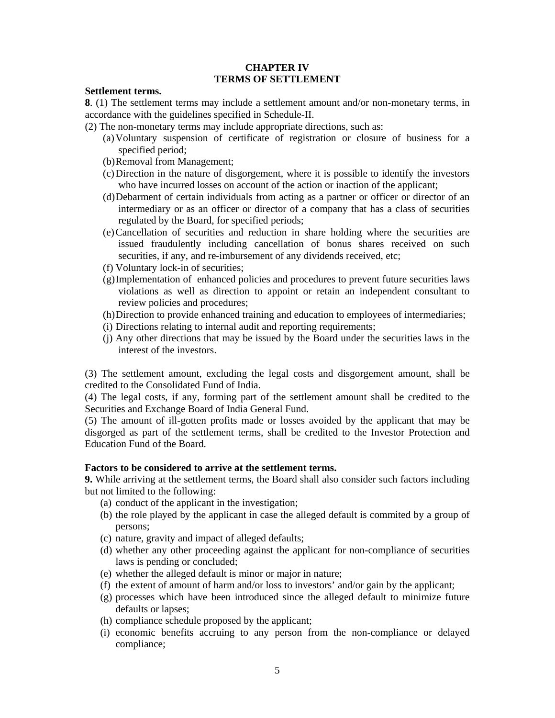### **CHAPTER IV TERMS OF SETTLEMENT**

#### **Settlement terms.**

**8**. (1) The settlement terms may include a settlement amount and/or non-monetary terms, in accordance with the guidelines specified in Schedule-II.

- (2) The non-monetary terms may include appropriate directions, such as:
	- (a)Voluntary suspension of certificate of registration or closure of business for a specified period;
	- (b)Removal from Management;
	- (c)Direction in the nature of disgorgement, where it is possible to identify the investors who have incurred losses on account of the action or inaction of the applicant;
	- (d)Debarment of certain individuals from acting as a partner or officer or director of an intermediary or as an officer or director of a company that has a class of securities regulated by the Board, for specified periods;
	- (e)Cancellation of securities and reduction in share holding where the securities are issued fraudulently including cancellation of bonus shares received on such securities, if any, and re-imbursement of any dividends received, etc;
	- (f) Voluntary lock-in of securities;
	- (g)Implementation of enhanced policies and procedures to prevent future securities laws violations as well as direction to appoint or retain an independent consultant to review policies and procedures;
	- (h)Direction to provide enhanced training and education to employees of intermediaries;
	- (i) Directions relating to internal audit and reporting requirements;
	- (j) Any other directions that may be issued by the Board under the securities laws in the interest of the investors.

(3) The settlement amount, excluding the legal costs and disgorgement amount, shall be credited to the Consolidated Fund of India.

(4) The legal costs, if any, forming part of the settlement amount shall be credited to the Securities and Exchange Board of India General Fund.

(5) The amount of ill-gotten profits made or losses avoided by the applicant that may be disgorged as part of the settlement terms, shall be credited to the Investor Protection and Education Fund of the Board.

### **Factors to be considered to arrive at the settlement terms.**

**9.** While arriving at the settlement terms, the Board shall also consider such factors including but not limited to the following:

- (a) conduct of the applicant in the investigation;
- (b) the role played by the applicant in case the alleged default is commited by a group of persons;
- (c) nature, gravity and impact of alleged defaults;
- (d) whether any other proceeding against the applicant for non-compliance of securities laws is pending or concluded;
- (e) whether the alleged default is minor or major in nature;
- (f) the extent of amount of harm and/or loss to investors' and/or gain by the applicant;
- (g) processes which have been introduced since the alleged default to minimize future defaults or lapses;
- (h) compliance schedule proposed by the applicant;
- (i) economic benefits accruing to any person from the non-compliance or delayed compliance;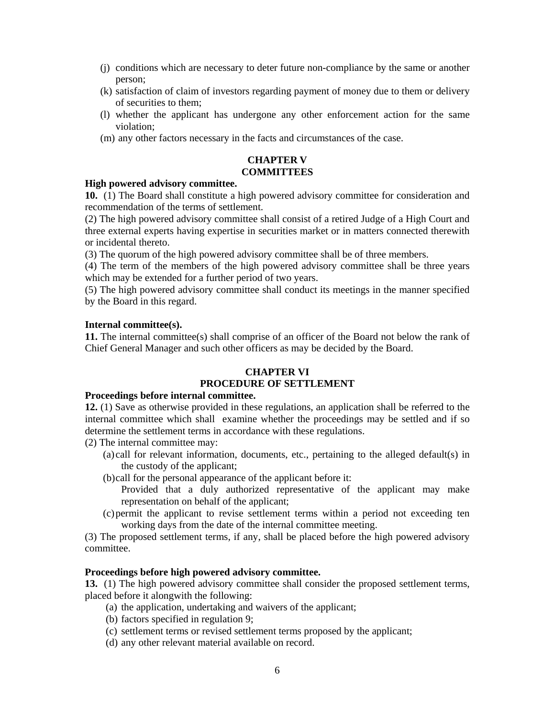- (j) conditions which are necessary to deter future non-compliance by the same or another person;
- (k) satisfaction of claim of investors regarding payment of money due to them or delivery of securities to them;
- (l) whether the applicant has undergone any other enforcement action for the same violation;
- (m) any other factors necessary in the facts and circumstances of the case.

### **CHAPTER V COMMITTEES**

#### **High powered advisory committee.**

**10.** (1) The Board shall constitute a high powered advisory committee for consideration and recommendation of the terms of settlement.

(2) The high powered advisory committee shall consist of a retired Judge of a High Court and three external experts having expertise in securities market or in matters connected therewith or incidental thereto.

(3) The quorum of the high powered advisory committee shall be of three members.

(4) The term of the members of the high powered advisory committee shall be three years which may be extended for a further period of two years.

(5) The high powered advisory committee shall conduct its meetings in the manner specified by the Board in this regard.

#### **Internal committee(s).**

**11.** The internal committee(s) shall comprise of an officer of the Board not below the rank of Chief General Manager and such other officers as may be decided by the Board.

### **CHAPTER VI PROCEDURE OF SETTLEMENT**

### **Proceedings before internal committee.**

**12.** (1) Save as otherwise provided in these regulations, an application shall be referred to the internal committee which shall examine whether the proceedings may be settled and if so determine the settlement terms in accordance with these regulations.

- (2) The internal committee may:
	- (a) call for relevant information, documents, etc., pertaining to the alleged default(s) in the custody of the applicant;
	- (b)call for the personal appearance of the applicant before it:
		- Provided that a duly authorized representative of the applicant may make representation on behalf of the applicant;
	- (c)permit the applicant to revise settlement terms within a period not exceeding ten working days from the date of the internal committee meeting.

(3) The proposed settlement terms, if any, shall be placed before the high powered advisory committee.

### **Proceedings before high powered advisory committee.**

**13.** (1) The high powered advisory committee shall consider the proposed settlement terms, placed before it alongwith the following:

- (a) the application, undertaking and waivers of the applicant;
- (b) factors specified in regulation 9;
- (c) settlement terms or revised settlement terms proposed by the applicant;
- (d) any other relevant material available on record.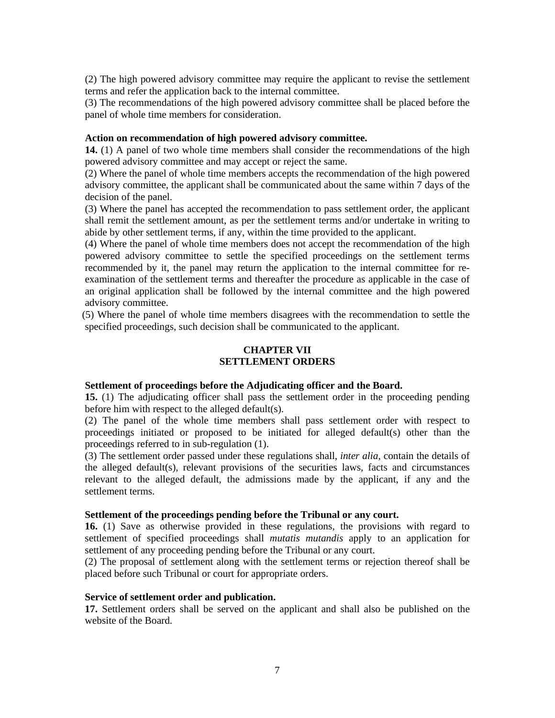(2) The high powered advisory committee may require the applicant to revise the settlement terms and refer the application back to the internal committee.

(3) The recommendations of the high powered advisory committee shall be placed before the panel of whole time members for consideration.

#### **Action on recommendation of high powered advisory committee.**

**14.** (1) A panel of two whole time members shall consider the recommendations of the high powered advisory committee and may accept or reject the same.

(2) Where the panel of whole time members accepts the recommendation of the high powered advisory committee, the applicant shall be communicated about the same within 7 days of the decision of the panel.

(3) Where the panel has accepted the recommendation to pass settlement order, the applicant shall remit the settlement amount, as per the settlement terms and/or undertake in writing to abide by other settlement terms, if any, within the time provided to the applicant.

(4) Where the panel of whole time members does not accept the recommendation of the high powered advisory committee to settle the specified proceedings on the settlement terms recommended by it, the panel may return the application to the internal committee for reexamination of the settlement terms and thereafter the procedure as applicable in the case of an original application shall be followed by the internal committee and the high powered advisory committee.

 (5) Where the panel of whole time members disagrees with the recommendation to settle the specified proceedings, such decision shall be communicated to the applicant.

#### **CHAPTER VII SETTLEMENT ORDERS**

#### **Settlement of proceedings before the Adjudicating officer and the Board.**

**15.** (1) The adjudicating officer shall pass the settlement order in the proceeding pending before him with respect to the alleged default(s).

(2) The panel of the whole time members shall pass settlement order with respect to proceedings initiated or proposed to be initiated for alleged default(s) other than the proceedings referred to in sub-regulation (1).

(3) The settlement order passed under these regulations shall, *inter alia*, contain the details of the alleged default(s), relevant provisions of the securities laws, facts and circumstances relevant to the alleged default, the admissions made by the applicant, if any and the settlement terms.

#### **Settlement of the proceedings pending before the Tribunal or any court.**

**16.** (1) Save as otherwise provided in these regulations, the provisions with regard to settlement of specified proceedings shall *mutatis mutandis* apply to an application for settlement of any proceeding pending before the Tribunal or any court.

(2) The proposal of settlement along with the settlement terms or rejection thereof shall be placed before such Tribunal or court for appropriate orders.

#### **Service of settlement order and publication.**

**17.** Settlement orders shall be served on the applicant and shall also be published on the website of the Board.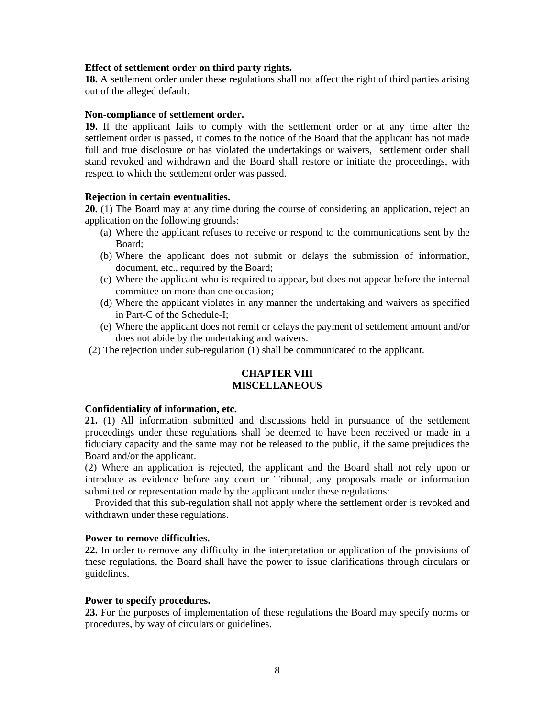#### **Effect of settlement order on third party rights.**

**18.** A settlement order under these regulations shall not affect the right of third parties arising out of the alleged default.

#### **Non-compliance of settlement order.**

**19.** If the applicant fails to comply with the settlement order or at any time after the settlement order is passed, it comes to the notice of the Board that the applicant has not made full and true disclosure or has violated the undertakings or waivers, settlement order shall stand revoked and withdrawn and the Board shall restore or initiate the proceedings, with respect to which the settlement order was passed.

#### **Rejection in certain eventualities.**

**20.** (1) The Board may at any time during the course of considering an application, reject an application on the following grounds:

- (a) Where the applicant refuses to receive or respond to the communications sent by the Board;
- (b) Where the applicant does not submit or delays the submission of information, document, etc., required by the Board;
- (c) Where the applicant who is required to appear, but does not appear before the internal committee on more than one occasion;
- (d) Where the applicant violates in any manner the undertaking and waivers as specified in Part-C of the Schedule-I;
- (e) Where the applicant does not remit or delays the payment of settlement amount and/or does not abide by the undertaking and waivers.
- (2) The rejection under sub-regulation (1) shall be communicated to the applicant.

### **CHAPTER VIII MISCELLANEOUS**

#### **Confidentiality of information, etc.**

**21.** (1) All information submitted and discussions held in pursuance of the settlement proceedings under these regulations shall be deemed to have been received or made in a fiduciary capacity and the same may not be released to the public, if the same prejudices the Board and/or the applicant.

(2) Where an application is rejected, the applicant and the Board shall not rely upon or introduce as evidence before any court or Tribunal, any proposals made or information submitted or representation made by the applicant under these regulations:

 Provided that this sub-regulation shall not apply where the settlement order is revoked and withdrawn under these regulations.

#### **Power to remove difficulties.**

**22.** In order to remove any difficulty in the interpretation or application of the provisions of these regulations, the Board shall have the power to issue clarifications through circulars or guidelines.

#### **Power to specify procedures.**

**23.** For the purposes of implementation of these regulations the Board may specify norms or procedures, by way of circulars or guidelines.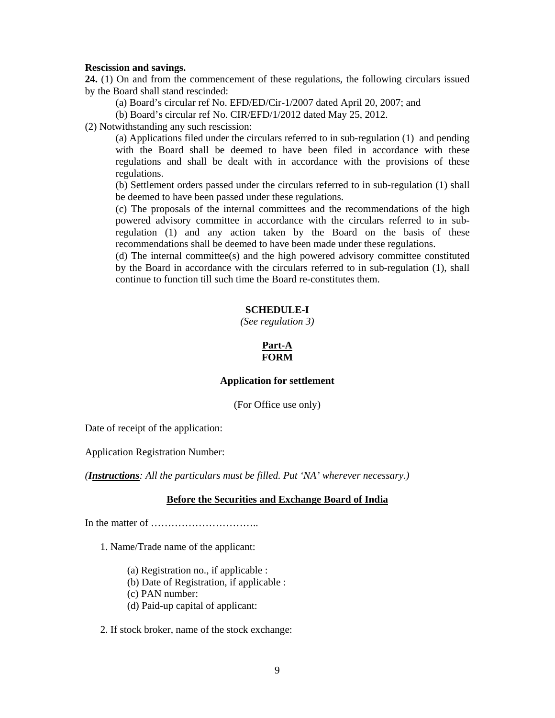#### **Rescission and savings.**

**24.** (1) On and from the commencement of these regulations, the following circulars issued by the Board shall stand rescinded:

(a) Board's circular ref No. EFD/ED/Cir-1/2007 dated April 20, 2007; and

(b) Board's circular ref No. CIR/EFD/1/2012 dated May 25, 2012.

(2) Notwithstanding any such rescission:

(a) Applications filed under the circulars referred to in sub-regulation (1) and pending with the Board shall be deemed to have been filed in accordance with these regulations and shall be dealt with in accordance with the provisions of these regulations.

(b) Settlement orders passed under the circulars referred to in sub-regulation (1) shall be deemed to have been passed under these regulations.

(c) The proposals of the internal committees and the recommendations of the high powered advisory committee in accordance with the circulars referred to in subregulation (1) and any action taken by the Board on the basis of these recommendations shall be deemed to have been made under these regulations.

(d) The internal committee(s) and the high powered advisory committee constituted by the Board in accordance with the circulars referred to in sub-regulation (1), shall continue to function till such time the Board re-constitutes them.

### **SCHEDULE-I**

*(See regulation 3)* 

#### **Part-A FORM**

#### **Application for settlement**

(For Office use only)

Date of receipt of the application:

Application Registration Number:

*(Instructions: All the particulars must be filled. Put 'NA' wherever necessary.)*

#### **Before the Securities and Exchange Board of India**

In the matter of …………………………..

1. Name/Trade name of the applicant:

- (a) Registration no., if applicable :
- (b) Date of Registration, if applicable :
- (c) PAN number:
- (d) Paid-up capital of applicant:

2. If stock broker, name of the stock exchange: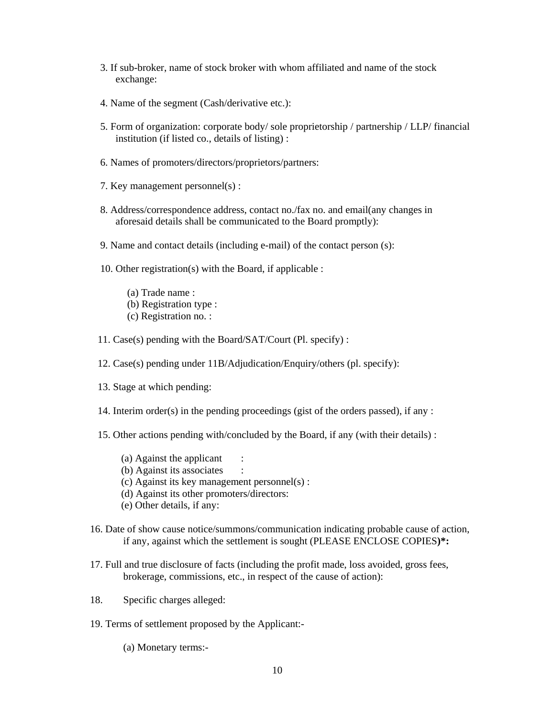- 3. If sub-broker, name of stock broker with whom affiliated and name of the stock exchange:
- 4. Name of the segment (Cash/derivative etc.):
- 5. Form of organization: corporate body/ sole proprietorship / partnership / LLP/ financial institution (if listed co., details of listing) :
- 6. Names of promoters/directors/proprietors/partners:
- 7. Key management personnel(s) :
- 8. Address/correspondence address, contact no./fax no. and email(any changes in aforesaid details shall be communicated to the Board promptly):
- 9. Name and contact details (including e-mail) of the contact person (s):
- 10. Other registration(s) with the Board, if applicable :
	- (a) Trade name :
	- (b) Registration type :
	- (c) Registration no. :
- 11. Case(s) pending with the Board/SAT/Court (Pl. specify) :
- 12. Case(s) pending under 11B/Adjudication/Enquiry/others (pl. specify):
- 13. Stage at which pending:
- 14. Interim order(s) in the pending proceedings (gist of the orders passed), if any :
- 15. Other actions pending with/concluded by the Board, if any (with their details) :
	- (a) Against the applicant :
	- (b) Against its associates
	- (c) Against its key management personnel(s) :
	- (d) Against its other promoters/directors:
	- (e) Other details, if any:
- 16. Date of show cause notice/summons/communication indicating probable cause of action, if any, against which the settlement is sought (PLEASE ENCLOSE COPIES**)\*:**
- 17. Full and true disclosure of facts (including the profit made, loss avoided, gross fees, brokerage, commissions, etc., in respect of the cause of action):
- 18. Specific charges alleged:
- 19. Terms of settlement proposed by the Applicant:-
	- (a) Monetary terms:-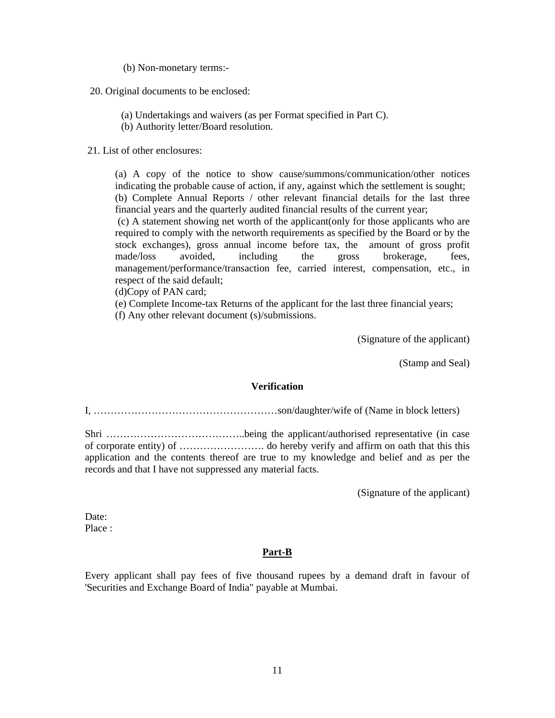(b) Non-monetary terms:-

20. Original documents to be enclosed:

(a) Undertakings and waivers (as per Format specified in Part C).

(b) Authority letter/Board resolution.

21. List of other enclosures:

(a) A copy of the notice to show cause/summons/communication/other notices indicating the probable cause of action, if any, against which the settlement is sought; (b) Complete Annual Reports / other relevant financial details for the last three financial years and the quarterly audited financial results of the current year;

 (c) A statement showing net worth of the applicant(only for those applicants who are required to comply with the networth requirements as specified by the Board or by the stock exchanges), gross annual income before tax, the amount of gross profit made/loss avoided, including the gross brokerage, fees, management/performance/transaction fee, carried interest, compensation, etc., in respect of the said default;

(d)Copy of PAN card;

(e) Complete Income-tax Returns of the applicant for the last three financial years;

(f) Any other relevant document (s)/submissions.

(Signature of the applicant)

(Stamp and Seal)

#### **Verification**

I, ………………………………………………son/daughter/wife of (Name in block letters)

Shri …………………………………..being the applicant/authorised representative (in case of corporate entity) of ……………………. do hereby verify and affirm on oath that this this application and the contents thereof are true to my knowledge and belief and as per the records and that I have not suppressed any material facts.

(Signature of the applicant)

Date: Place :

#### **Part-B**

Every applicant shall pay fees of five thousand rupees by a demand draft in favour of 'Securities and Exchange Board of India" payable at Mumbai.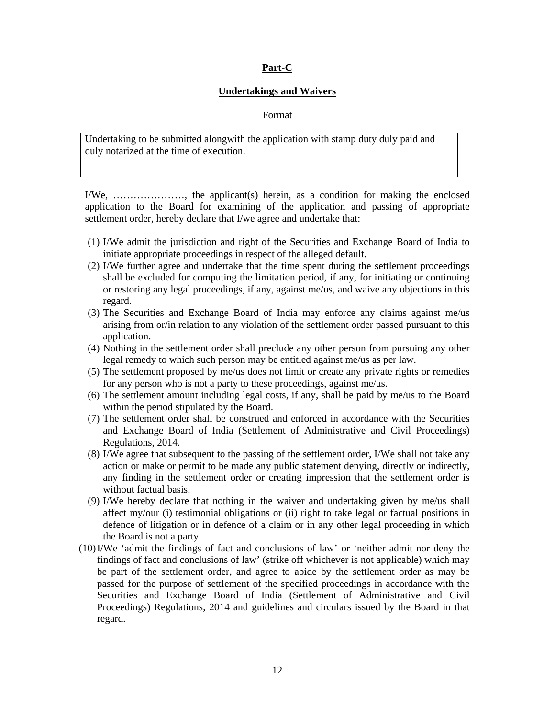### **Part-C**

#### **Undertakings and Waivers**

#### Format

Undertaking to be submitted alongwith the application with stamp duty duly paid and duly notarized at the time of execution.

I/We, …………………, the applicant(s) herein, as a condition for making the enclosed application to the Board for examining of the application and passing of appropriate settlement order, hereby declare that I/we agree and undertake that:

- (1) I/We admit the jurisdiction and right of the Securities and Exchange Board of India to initiate appropriate proceedings in respect of the alleged default.
- (2) I/We further agree and undertake that the time spent during the settlement proceedings shall be excluded for computing the limitation period, if any, for initiating or continuing or restoring any legal proceedings, if any, against me/us, and waive any objections in this regard.
- (3) The Securities and Exchange Board of India may enforce any claims against me/us arising from or/in relation to any violation of the settlement order passed pursuant to this application.
- (4) Nothing in the settlement order shall preclude any other person from pursuing any other legal remedy to which such person may be entitled against me/us as per law.
- (5) The settlement proposed by me/us does not limit or create any private rights or remedies for any person who is not a party to these proceedings, against me/us.
- (6) The settlement amount including legal costs, if any, shall be paid by me/us to the Board within the period stipulated by the Board.
- (7) The settlement order shall be construed and enforced in accordance with the Securities and Exchange Board of India (Settlement of Administrative and Civil Proceedings) Regulations, 2014.
- (8) I/We agree that subsequent to the passing of the settlement order, I/We shall not take any action or make or permit to be made any public statement denying, directly or indirectly, any finding in the settlement order or creating impression that the settlement order is without factual basis.
- (9) I/We hereby declare that nothing in the waiver and undertaking given by me/us shall affect my/our (i) testimonial obligations or (ii) right to take legal or factual positions in defence of litigation or in defence of a claim or in any other legal proceeding in which the Board is not a party.
- (10)I/We 'admit the findings of fact and conclusions of law' or 'neither admit nor deny the findings of fact and conclusions of law' (strike off whichever is not applicable) which may be part of the settlement order, and agree to abide by the settlement order as may be passed for the purpose of settlement of the specified proceedings in accordance with the Securities and Exchange Board of India (Settlement of Administrative and Civil Proceedings) Regulations, 2014 and guidelines and circulars issued by the Board in that regard.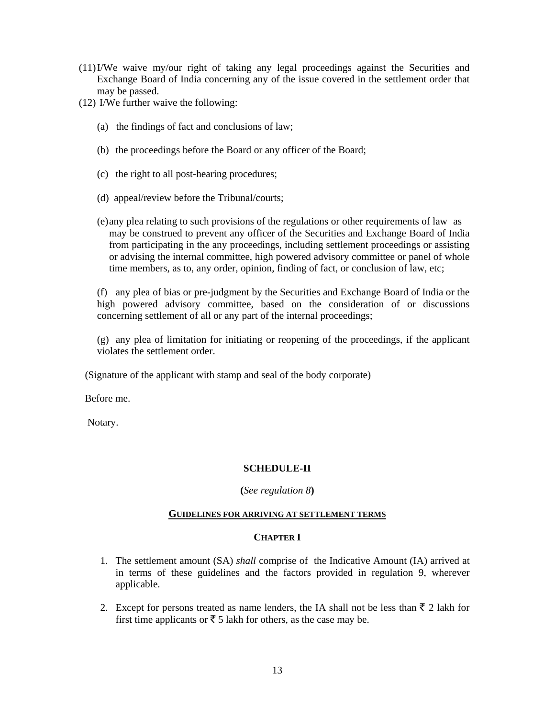- (11)I/We waive my/our right of taking any legal proceedings against the Securities and Exchange Board of India concerning any of the issue covered in the settlement order that may be passed.
- (12) I/We further waive the following:
	- (a) the findings of fact and conclusions of law;
	- (b) the proceedings before the Board or any officer of the Board;
	- (c) the right to all post-hearing procedures;
	- (d) appeal/review before the Tribunal/courts;
	- (e) any plea relating to such provisions of the regulations or other requirements of law as may be construed to prevent any officer of the Securities and Exchange Board of India from participating in the any proceedings, including settlement proceedings or assisting or advising the internal committee, high powered advisory committee or panel of whole time members, as to, any order, opinion, finding of fact, or conclusion of law, etc;

(f) any plea of bias or pre-judgment by the Securities and Exchange Board of India or the high powered advisory committee, based on the consideration of or discussions concerning settlement of all or any part of the internal proceedings;

(g) any plea of limitation for initiating or reopening of the proceedings, if the applicant violates the settlement order.

(Signature of the applicant with stamp and seal of the body corporate)

Before me.

Notary.

### **SCHEDULE-II**

**(***See regulation 8***)** 

#### **GUIDELINES FOR ARRIVING AT SETTLEMENT TERMS**

#### **CHAPTER I**

- 1. The settlement amount (SA) *shall* comprise of the Indicative Amount (IA) arrived at in terms of these guidelines and the factors provided in regulation 9, wherever applicable.
- 2. Except for persons treated as name lenders, the IA shall not be less than  $\bar{\tau}$  2 lakh for first time applicants or  $\bar{\tau}$  5 lakh for others, as the case may be.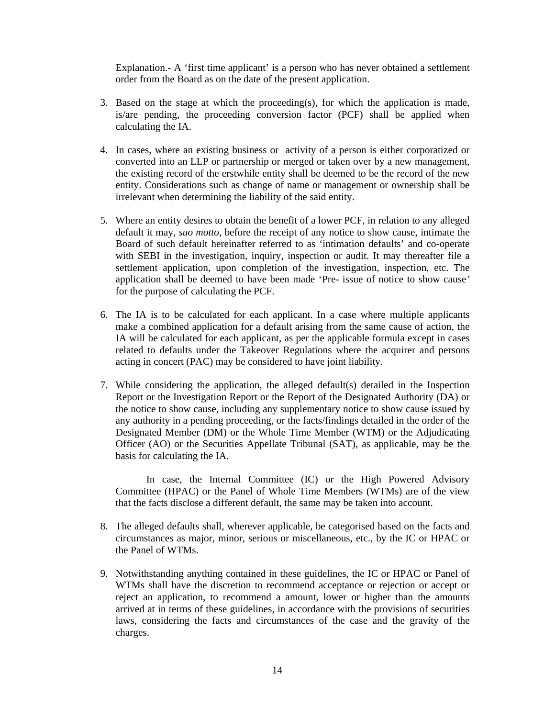Explanation.- A 'first time applicant' is a person who has never obtained a settlement order from the Board as on the date of the present application.

- 3. Based on the stage at which the proceeding(s), for which the application is made, is/are pending, the proceeding conversion factor (PCF) shall be applied when calculating the IA.
- 4. In cases, where an existing business or activity of a person is either corporatized or converted into an LLP or partnership or merged or taken over by a new management, the existing record of the erstwhile entity shall be deemed to be the record of the new entity. Considerations such as change of name or management or ownership shall be irrelevant when determining the liability of the said entity.
- 5. Where an entity desires to obtain the benefit of a lower PCF, in relation to any alleged default it may, *suo motto*, before the receipt of any notice to show cause, intimate the Board of such default hereinafter referred to as 'intimation defaults' and co-operate with SEBI in the investigation, inquiry, inspection or audit. It may thereafter file a settlement application, upon completion of the investigation, inspection, etc. The application shall be deemed to have been made 'Pre- issue of notice to show cause*'*  for the purpose of calculating the PCF.
- 6. The IA is to be calculated for each applicant. In a case where multiple applicants make a combined application for a default arising from the same cause of action, the IA will be calculated for each applicant, as per the applicable formula except in cases related to defaults under the Takeover Regulations where the acquirer and persons acting in concert (PAC) may be considered to have joint liability.
- 7. While considering the application, the alleged default(s) detailed in the Inspection Report or the Investigation Report or the Report of the Designated Authority (DA) or the notice to show cause, including any supplementary notice to show cause issued by any authority in a pending proceeding, or the facts/findings detailed in the order of the Designated Member (DM) or the Whole Time Member (WTM) or the Adjudicating Officer (AO) or the Securities Appellate Tribunal (SAT), as applicable, may be the basis for calculating the IA.

 In case, the Internal Committee (IC) or the High Powered Advisory Committee (HPAC) or the Panel of Whole Time Members (WTMs) are of the view that the facts disclose a different default, the same may be taken into account.

- 8. The alleged defaults shall, wherever applicable, be categorised based on the facts and circumstances as major, minor, serious or miscellaneous, etc., by the IC or HPAC or the Panel of WTMs.
- 9. Notwithstanding anything contained in these guidelines, the IC or HPAC or Panel of WTMs shall have the discretion to recommend acceptance or rejection or accept or reject an application, to recommend a amount, lower or higher than the amounts arrived at in terms of these guidelines, in accordance with the provisions of securities laws, considering the facts and circumstances of the case and the gravity of the charges.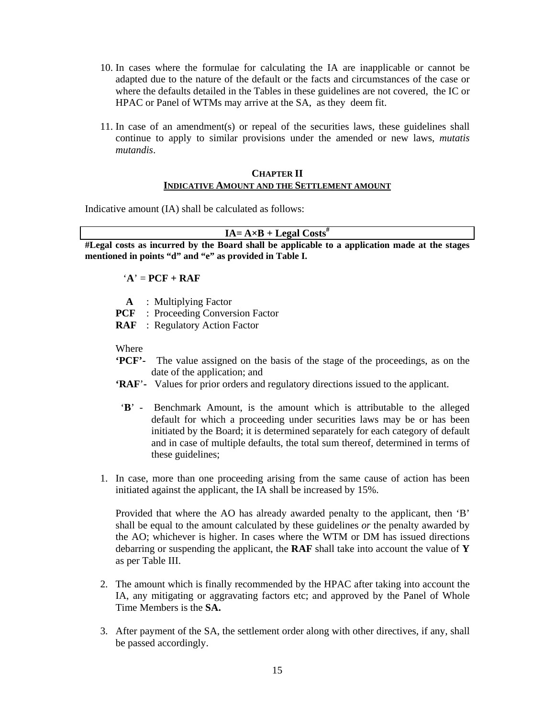- 10. In cases where the formulae for calculating the IA are inapplicable or cannot be adapted due to the nature of the default or the facts and circumstances of the case or where the defaults detailed in the Tables in these guidelines are not covered, the IC or HPAC or Panel of WTMs may arrive at the SA, as they deem fit.
- 11. In case of an amendment(s) or repeal of the securities laws, these guidelines shall continue to apply to similar provisions under the amended or new laws, *mutatis mutandis*.

### **CHAPTER II INDICATIVE AMOUNT AND THE SETTLEMENT AMOUNT**

Indicative amount (IA) shall be calculated as follows:

#### $IA = A \times B + Legal Costs$ <sup>#</sup>

**#Legal costs as incurred by the Board shall be applicable to a application made at the stages mentioned in points "d" and "e" as provided in Table I.** 

### $^{\circ}$ **A** $^{\circ}$  = **PCF** + **RAF**

- **A** : Multiplying Factor
- **PCF** : Proceeding Conversion Factor
- **RAF** : Regulatory Action Factor

Where

- **'PCF'-** The value assigned on the basis of the stage of the proceedings, as on the date of the application; and
- **'RAF**'**-** Values for prior orders and regulatory directions issued to the applicant.
- '**B**' Benchmark Amount, is the amount which is attributable to the alleged default for which a proceeding under securities laws may be or has been initiated by the Board; it is determined separately for each category of default and in case of multiple defaults, the total sum thereof, determined in terms of these guidelines;
- 1. In case, more than one proceeding arising from the same cause of action has been initiated against the applicant, the IA shall be increased by 15%.

Provided that where the AO has already awarded penalty to the applicant, then 'B' shall be equal to the amount calculated by these guidelines *or* the penalty awarded by the AO; whichever is higher. In cases where the WTM or DM has issued directions debarring or suspending the applicant, the **RAF** shall take into account the value of **Y** as per Table III.

- 2. The amount which is finally recommended by the HPAC after taking into account the IA, any mitigating or aggravating factors etc; and approved by the Panel of Whole Time Members is the **SA.**
- 3. After payment of the SA, the settlement order along with other directives, if any, shall be passed accordingly.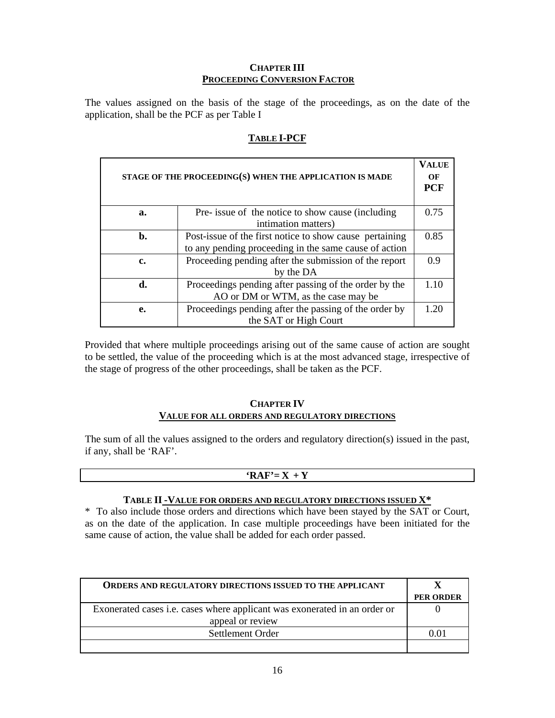### **CHAPTER III PROCEEDING CONVERSION FACTOR**

The values assigned on the basis of the stage of the proceedings, as on the date of the application, shall be the PCF as per Table I

| STAGE OF THE PROCEEDING(S) WHEN THE APPLICATION IS MADE |                                                                                                                  |      |
|---------------------------------------------------------|------------------------------------------------------------------------------------------------------------------|------|
| a.                                                      | Pre- issue of the notice to show cause (including<br>intimation matters)                                         | 0.75 |
| b.                                                      | Post-issue of the first notice to show cause pertaining<br>to any pending proceeding in the same cause of action | 0.85 |
| c.                                                      | Proceeding pending after the submission of the report<br>by the DA                                               | 0.9  |
| d.                                                      | Proceedings pending after passing of the order by the<br>AO or DM or WTM, as the case may be                     | 1.10 |
| e.                                                      | Proceedings pending after the passing of the order by<br>the SAT or High Court                                   | 120  |

### **TABLE I-PCF**

Provided that where multiple proceedings arising out of the same cause of action are sought to be settled, the value of the proceeding which is at the most advanced stage, irrespective of the stage of progress of the other proceedings, shall be taken as the PCF.

### **CHAPTER IV VALUE FOR ALL ORDERS AND REGULATORY DIRECTIONS**

The sum of all the values assigned to the orders and regulatory direction(s) issued in the past, if any, shall be 'RAF'.

### $'RAF' = X + Y$

### **TABLE II -VALUE FOR ORDERS AND REGULATORY DIRECTIONS ISSUED X\***

\* To also include those orders and directions which have been stayed by the SAT or Court, as on the date of the application. In case multiple proceedings have been initiated for the same cause of action, the value shall be added for each order passed.

| <b>ORDERS AND REGULATORY DIRECTIONS ISSUED TO THE APPLICANT</b>           |                  |
|---------------------------------------------------------------------------|------------------|
|                                                                           | <b>PER ORDER</b> |
| Exonerated cases i.e. cases where applicant was exonerated in an order or |                  |
| appeal or review                                                          |                  |
| Settlement Order                                                          |                  |
|                                                                           |                  |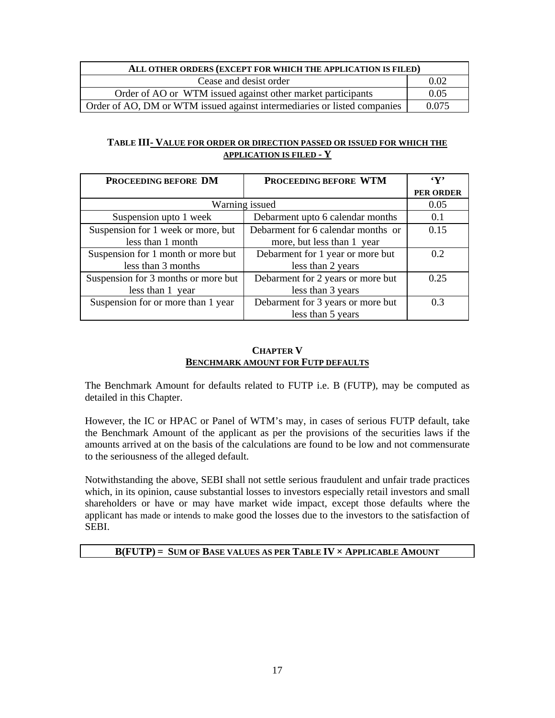| ALL OTHER ORDERS (EXCEPT FOR WHICH THE APPLICATION IS FILED)             |       |
|--------------------------------------------------------------------------|-------|
| Cease and desist order                                                   | 0.02  |
| Order of AO or WTM issued against other market participants              | 0.05  |
| Order of AO, DM or WTM issued against intermediaries or listed companies | 0.075 |

### **TABLE III- VALUE FOR ORDER OR DIRECTION PASSED OR ISSUED FOR WHICH THE APPLICATION IS FILED - Y**

| PROCEEDING BEFORE DM                | PROCEEDING BEFORE WTM              | $\mathbf{y}$     |
|-------------------------------------|------------------------------------|------------------|
|                                     |                                    | <b>PER ORDER</b> |
|                                     | Warning issued                     | 0.05             |
| Suspension upto 1 week              | Debarment upto 6 calendar months   | 0.1              |
| Suspension for 1 week or more, but  | Debarment for 6 calendar months or | 0.15             |
| less than 1 month                   | more, but less than 1 year         |                  |
| Suspension for 1 month or more but  | Debarment for 1 year or more but   | 0.2              |
| less than 3 months                  | less than 2 years                  |                  |
| Suspension for 3 months or more but | Debarment for 2 years or more but  | 0.25             |
| less than 1 year                    | less than 3 years                  |                  |
| Suspension for or more than 1 year  | Debarment for 3 years or more but  | 0.3              |
|                                     | less than 5 years                  |                  |

### **CHAPTER V BENCHMARK AMOUNT FOR FUTP DEFAULTS**

The Benchmark Amount for defaults related to FUTP i.e. B (FUTP), may be computed as detailed in this Chapter.

However, the IC or HPAC or Panel of WTM's may, in cases of serious FUTP default, take the Benchmark Amount of the applicant as per the provisions of the securities laws if the amounts arrived at on the basis of the calculations are found to be low and not commensurate to the seriousness of the alleged default.

Notwithstanding the above, SEBI shall not settle serious fraudulent and unfair trade practices which, in its opinion, cause substantial losses to investors especially retail investors and small shareholders or have or may have market wide impact, except those defaults where the applicant has made or intends to make good the losses due to the investors to the satisfaction of SEBI.

### **B(FUTP) = SUM OF BASE VALUES AS PER TABLE IV × APPLICABLE AMOUNT**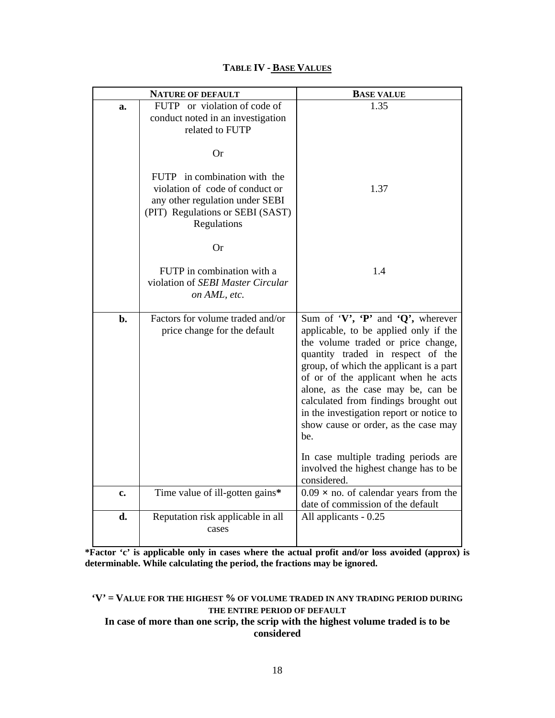| <b>NATURE OF DEFAULT</b> |                                                                                                                       | <b>BASE VALUE</b>                                                                                                                                                                                                                                                                                                                                                                                                           |
|--------------------------|-----------------------------------------------------------------------------------------------------------------------|-----------------------------------------------------------------------------------------------------------------------------------------------------------------------------------------------------------------------------------------------------------------------------------------------------------------------------------------------------------------------------------------------------------------------------|
| a.                       | FUTP or violation of code of<br>conduct noted in an investigation<br>related to FUTP                                  | 1.35                                                                                                                                                                                                                                                                                                                                                                                                                        |
|                          | Or<br>FUTP in combination with the                                                                                    |                                                                                                                                                                                                                                                                                                                                                                                                                             |
|                          | violation of code of conduct or<br>any other regulation under SEBI<br>(PIT) Regulations or SEBI (SAST)<br>Regulations | 1.37                                                                                                                                                                                                                                                                                                                                                                                                                        |
|                          | <b>Or</b>                                                                                                             |                                                                                                                                                                                                                                                                                                                                                                                                                             |
|                          | FUTP in combination with a<br>violation of SEBI Master Circular<br>on AML, etc.                                       | 1.4                                                                                                                                                                                                                                                                                                                                                                                                                         |
| b.                       | Factors for volume traded and/or<br>price change for the default                                                      | Sum of ' $V'$ , ' $P'$ and ' $Q'$ ', wherever<br>applicable, to be applied only if the<br>the volume traded or price change,<br>quantity traded in respect of the<br>group, of which the applicant is a part<br>of or of the applicant when he acts<br>alone, as the case may be, can be<br>calculated from findings brought out<br>in the investigation report or notice to<br>show cause or order, as the case may<br>be. |
|                          |                                                                                                                       | In case multiple trading periods are<br>involved the highest change has to be<br>considered.                                                                                                                                                                                                                                                                                                                                |
| c.                       | Time value of ill-gotten gains*                                                                                       | $0.09 \times$ no. of calendar years from the<br>date of commission of the default                                                                                                                                                                                                                                                                                                                                           |
| d.                       | Reputation risk applicable in all<br>cases                                                                            | All applicants - 0.25                                                                                                                                                                                                                                                                                                                                                                                                       |

## **TABLE IV - BASE VALUES**

**\*Factor 'c' is applicable only in cases where the actual profit and/or loss avoided (approx) is determinable. While calculating the period, the fractions may be ignored.** 

# **'V' = VALUE FOR THE HIGHEST % OF VOLUME TRADED IN ANY TRADING PERIOD DURING THE ENTIRE PERIOD OF DEFAULT**

### **In case of more than one scrip, the scrip with the highest volume traded is to be considered**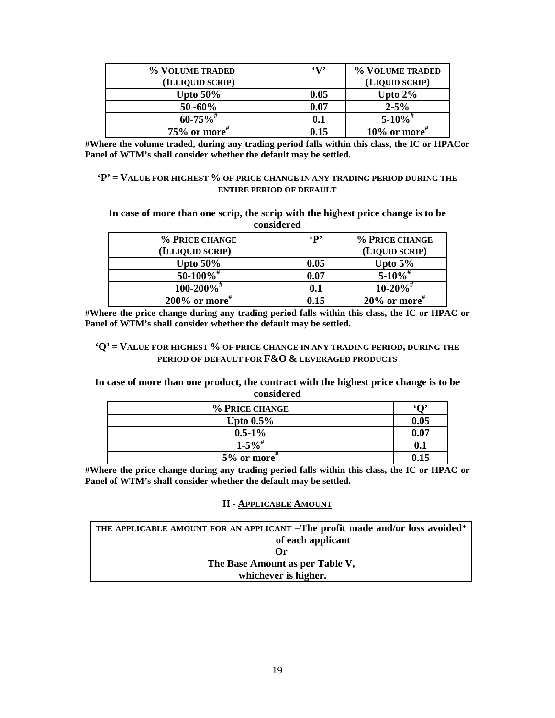| % VOLUME TRADED  | $\mathbf{v}$ | % VOLUME TRADED |
|------------------|--------------|-----------------|
| (ILLIQUID SCRIP) |              | (LIQUID SCRIP)  |
| Upto $50\%$      | 0.05         | Upto $2\%$      |
| $50 - 60\%$      | 0.07         | $2 - 5\%$       |
| $60 - 75\%$      | 0.1          | $5 - 10\%$      |
| $75\%$ or more"  | 0.15         | $10\%$ or more" |

**#Where the volume traded, during any trading period falls within this class, the IC or HPACor Panel of WTM's shall consider whether the default may be settled.** 

### **'P' = VALUE FOR HIGHEST % OF PRICE CHANGE IN ANY TRADING PERIOD DURING THE ENTIRE PERIOD OF DEFAULT**

**In case of more than one scrip, the scrip with the highest price change is to be considered** 

| % PRICE CHANGE               | $\mathbf{p}$ | % PRICE CHANGE           |
|------------------------------|--------------|--------------------------|
| (ILLIQUID SCRIP)             |              | (LIQUID SCRIP)           |
| Upto $50\%$                  | 0.05         | Upto $5\%$               |
| $50-100\%$ <sup>#</sup>      | 0.07         | $5 - 10\%$ <sup>#</sup>  |
| $100 - 200\%$ <sup>#</sup>   | 0.1          | $10 - 20\%$ <sup>#</sup> |
| $200\%$ or more <sup>#</sup> | 0.15         | $20\%$ or more"          |

**#Where the price change during any trading period falls within this class, the IC or HPAC or Panel of WTM's shall consider whether the default may be settled.** 

#### **'Q' = VALUE FOR HIGHEST % OF PRICE CHANGE IN ANY TRADING PERIOD, DURING THE PERIOD OF DEFAULT FOR F&O & LEVERAGED PRODUCTS**

#### **In case of more than one product, the contract with the highest price change is to be considered**

| % PRICE CHANGE         | $\Omega$ |
|------------------------|----------|
| Upto $0.5\%$           | 0.05     |
| $0.5 - 1\%$            | 0.07     |
| $1 - 5\%$ <sup>#</sup> | 0.1      |
| $5%$ or more"          | 0.15     |

**#Where the price change during any trading period falls within this class, the IC or HPAC or Panel of WTM's shall consider whether the default may be settled.** 

#### **II - APPLICABLE AMOUNT**

| THE APPLICABLE AMOUNT FOR AN APPLICANT = The profit made and/or loss avoided* |
|-------------------------------------------------------------------------------|
| of each applicant                                                             |
| Оr                                                                            |
| The Base Amount as per Table V,                                               |
| whichever is higher.                                                          |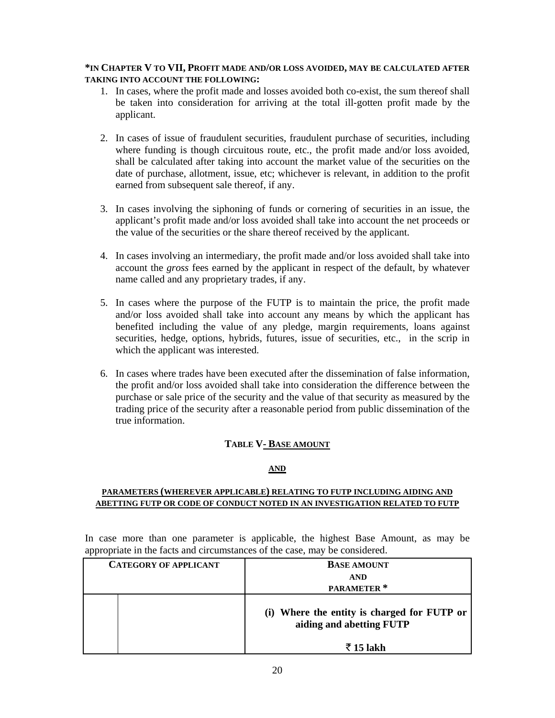### **\*IN CHAPTER V TO VII, PROFIT MADE AND/OR LOSS AVOIDED, MAY BE CALCULATED AFTER TAKING INTO ACCOUNT THE FOLLOWING:**

- 1. In cases, where the profit made and losses avoided both co-exist, the sum thereof shall be taken into consideration for arriving at the total ill-gotten profit made by the applicant.
- 2. In cases of issue of fraudulent securities, fraudulent purchase of securities, including where funding is though circuitous route, etc., the profit made and/or loss avoided, shall be calculated after taking into account the market value of the securities on the date of purchase, allotment, issue, etc; whichever is relevant, in addition to the profit earned from subsequent sale thereof, if any.
- 3. In cases involving the siphoning of funds or cornering of securities in an issue, the applicant's profit made and/or loss avoided shall take into account the net proceeds or the value of the securities or the share thereof received by the applicant.
- 4. In cases involving an intermediary, the profit made and/or loss avoided shall take into account the *gross* fees earned by the applicant in respect of the default, by whatever name called and any proprietary trades, if any.
- 5. In cases where the purpose of the FUTP is to maintain the price, the profit made and/or loss avoided shall take into account any means by which the applicant has benefited including the value of any pledge, margin requirements, loans against securities, hedge, options, hybrids, futures, issue of securities, etc., in the scrip in which the applicant was interested.
- 6. In cases where trades have been executed after the dissemination of false information, the profit and/or loss avoided shall take into consideration the difference between the purchase or sale price of the security and the value of that security as measured by the trading price of the security after a reasonable period from public dissemination of the true information.

### **TABLE V- BASE AMOUNT**

### **AND**

### **PARAMETERS (WHEREVER APPLICABLE) RELATING TO FUTP INCLUDING AIDING AND ABETTING FUTP OR CODE OF CONDUCT NOTED IN AN INVESTIGATION RELATED TO FUTP**

In case more than one parameter is applicable, the highest Base Amount, as may be appropriate in the facts and circumstances of the case, may be considered.

| <b>CATEGORY OF APPLICANT</b> |  | <b>BASE AMOUNT</b>                                                      |
|------------------------------|--|-------------------------------------------------------------------------|
|                              |  | <b>AND</b>                                                              |
|                              |  | PARAMETER <sup>*</sup>                                                  |
|                              |  | (i) Where the entity is charged for FUTP or<br>aiding and abetting FUTP |
|                              |  | रैं 15 lakh                                                             |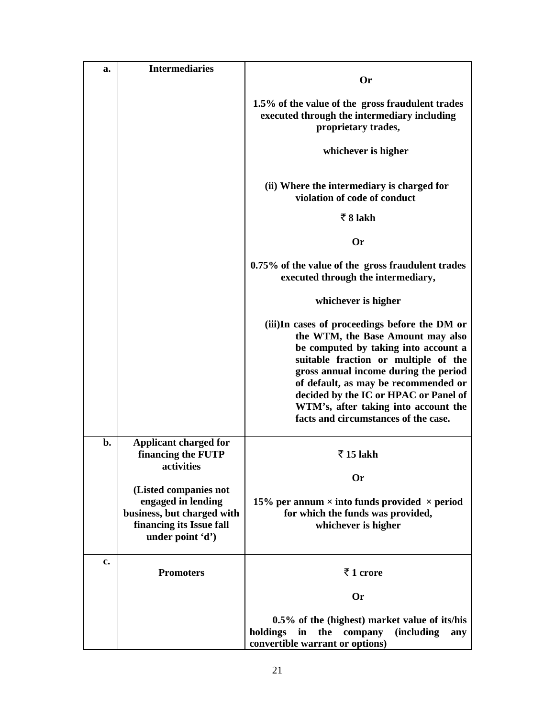| a. | <b>Intermediaries</b>                                                                                                     |                                                                                                                                                                                                                                                                                                                                                                              |
|----|---------------------------------------------------------------------------------------------------------------------------|------------------------------------------------------------------------------------------------------------------------------------------------------------------------------------------------------------------------------------------------------------------------------------------------------------------------------------------------------------------------------|
|    |                                                                                                                           | <b>Or</b>                                                                                                                                                                                                                                                                                                                                                                    |
|    |                                                                                                                           | 1.5% of the value of the gross fraudulent trades<br>executed through the intermediary including<br>proprietary trades,                                                                                                                                                                                                                                                       |
|    |                                                                                                                           | whichever is higher                                                                                                                                                                                                                                                                                                                                                          |
|    |                                                                                                                           | (ii) Where the intermediary is charged for<br>violation of code of conduct                                                                                                                                                                                                                                                                                                   |
|    |                                                                                                                           | $\overline{5}8$ lakh                                                                                                                                                                                                                                                                                                                                                         |
|    |                                                                                                                           | <b>Or</b>                                                                                                                                                                                                                                                                                                                                                                    |
|    |                                                                                                                           | 0.75% of the value of the gross fraudulent trades<br>executed through the intermediary,                                                                                                                                                                                                                                                                                      |
|    |                                                                                                                           | whichever is higher                                                                                                                                                                                                                                                                                                                                                          |
|    |                                                                                                                           | (iii)In cases of proceedings before the DM or<br>the WTM, the Base Amount may also<br>be computed by taking into account a<br>suitable fraction or multiple of the<br>gross annual income during the period<br>of default, as may be recommended or<br>decided by the IC or HPAC or Panel of<br>WTM's, after taking into account the<br>facts and circumstances of the case. |
| b. | <b>Applicant charged for</b><br>financing the FUTP<br>activities                                                          | $\overline{5}$ 15 lakh                                                                                                                                                                                                                                                                                                                                                       |
|    |                                                                                                                           | <b>Or</b>                                                                                                                                                                                                                                                                                                                                                                    |
|    | (Listed companies not<br>engaged in lending<br>business, but charged with<br>financing its Issue fall<br>under point 'd') | 15% per annum $\times$ into funds provided $\times$ period<br>for which the funds was provided,<br>whichever is higher                                                                                                                                                                                                                                                       |
| c. | <b>Promoters</b>                                                                                                          | ₹1 crore                                                                                                                                                                                                                                                                                                                                                                     |
|    |                                                                                                                           | <b>Or</b>                                                                                                                                                                                                                                                                                                                                                                    |
|    |                                                                                                                           | 0.5% of the (highest) market value of its/his<br>in<br>the<br>holdings<br>company<br><i>(including)</i><br>any<br>convertible warrant or options)                                                                                                                                                                                                                            |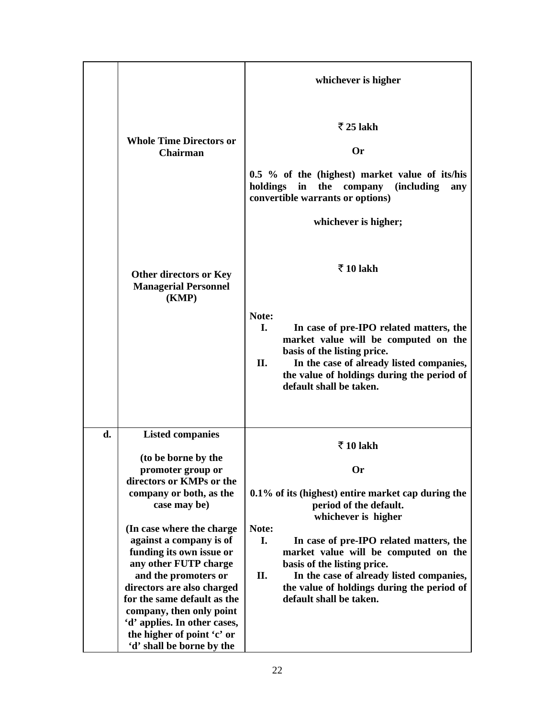|    |                                                                       | whichever is higher                                                                                                                                                                                                                                       |
|----|-----------------------------------------------------------------------|-----------------------------------------------------------------------------------------------------------------------------------------------------------------------------------------------------------------------------------------------------------|
|    | <b>Whole Time Directors or</b><br><b>Chairman</b>                     | $\bar{z}$ 25 lakh<br><b>Or</b><br>0.5 % of the (highest) market value of its/his<br>the company<br>holdings in<br><i>(including)</i><br>any<br>convertible warrants or options)<br>whichever is higher;                                                   |
|    | <b>Other directors or Key</b><br><b>Managerial Personnel</b><br>(KMP) | ₹10 lakh                                                                                                                                                                                                                                                  |
|    |                                                                       | Note:<br>I.<br>In case of pre-IPO related matters, the<br>market value will be computed on the<br>basis of the listing price.<br>II.<br>In the case of already listed companies,<br>the value of holdings during the period of<br>default shall be taken. |
| d. | <b>Listed companies</b><br>(to be borne by the                        | ₹10 lakh                                                                                                                                                                                                                                                  |
|    | promoter group or                                                     | <b>Or</b>                                                                                                                                                                                                                                                 |
|    | directors or KMPs or the                                              |                                                                                                                                                                                                                                                           |
|    | company or both, as the<br>case may be)                               | 0.1% of its (highest) entire market cap during the<br>period of the default.<br>whichever is higher                                                                                                                                                       |
|    | (In case where the charge                                             | Note:                                                                                                                                                                                                                                                     |
|    | against a company is of                                               | I.<br>In case of pre-IPO related matters, the                                                                                                                                                                                                             |
|    | funding its own issue or                                              | market value will be computed on the                                                                                                                                                                                                                      |
|    | any other FUTP charge                                                 | basis of the listing price.                                                                                                                                                                                                                               |
|    | and the promoters or                                                  | II.<br>In the case of already listed companies,                                                                                                                                                                                                           |
|    | directors are also charged<br>for the same default as the             | the value of holdings during the period of<br>default shall be taken.                                                                                                                                                                                     |
|    | company, then only point                                              |                                                                                                                                                                                                                                                           |
|    | 'd' applies. In other cases,                                          |                                                                                                                                                                                                                                                           |
|    | the higher of point 'c' or                                            |                                                                                                                                                                                                                                                           |
|    | 'd' shall be borne by the                                             |                                                                                                                                                                                                                                                           |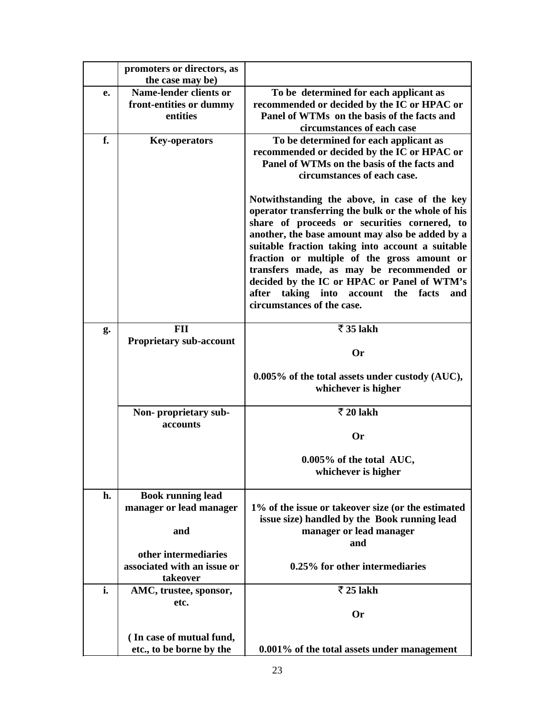|    | promoters or directors, as                          |                                                                                           |
|----|-----------------------------------------------------|-------------------------------------------------------------------------------------------|
|    | the case may be)                                    |                                                                                           |
| e. | <b>Name-lender clients or</b>                       | To be determined for each applicant as                                                    |
|    | front-entities or dummy                             | recommended or decided by the IC or HPAC or                                               |
|    | entities                                            | Panel of WTMs on the basis of the facts and                                               |
|    |                                                     | circumstances of each case                                                                |
| f. | <b>Key-operators</b>                                | To be determined for each applicant as<br>recommended or decided by the IC or HPAC or     |
|    |                                                     | Panel of WTMs on the basis of the facts and                                               |
|    |                                                     | circumstances of each case.                                                               |
|    |                                                     |                                                                                           |
|    |                                                     | Notwithstanding the above, in case of the key                                             |
|    |                                                     | operator transferring the bulk or the whole of his                                        |
|    |                                                     | share of proceeds or securities cornered, to                                              |
|    |                                                     | another, the base amount may also be added by a                                           |
|    |                                                     | suitable fraction taking into account a suitable                                          |
|    |                                                     | fraction or multiple of the gross amount or                                               |
|    |                                                     | transfers made, as may be recommended or                                                  |
|    |                                                     | decided by the IC or HPAC or Panel of WTM's<br>after taking into account the facts<br>and |
|    |                                                     | circumstances of the case.                                                                |
|    |                                                     |                                                                                           |
| g. | <b>FII</b>                                          | ₹ 35 lakh                                                                                 |
|    | <b>Proprietary sub-account</b>                      |                                                                                           |
|    |                                                     | <b>Or</b>                                                                                 |
|    |                                                     |                                                                                           |
|    |                                                     | 0.005% of the total assets under custody (AUC),<br>whichever is higher                    |
|    |                                                     |                                                                                           |
|    | Non-proprietary sub-                                | $\overline{5}$ 20 lakh                                                                    |
|    | accounts                                            |                                                                                           |
|    |                                                     | <b>Or</b>                                                                                 |
|    |                                                     | 0.005% of the total AUC,                                                                  |
|    |                                                     | whichever is higher                                                                       |
|    |                                                     |                                                                                           |
| h. | <b>Book running lead</b>                            |                                                                                           |
|    | manager or lead manager                             | 1% of the issue or takeover size (or the estimated                                        |
|    |                                                     | issue size) handled by the Book running lead                                              |
|    | and                                                 | manager or lead manager                                                                   |
|    |                                                     | and                                                                                       |
|    | other intermediaries<br>associated with an issue or | 0.25% for other intermediaries                                                            |
|    | takeover                                            |                                                                                           |
| i. | AMC, trustee, sponsor,                              | ₹ 25 lakh                                                                                 |
|    | etc.                                                |                                                                                           |
|    |                                                     | <b>Or</b>                                                                                 |
|    |                                                     |                                                                                           |
|    | (In case of mutual fund,                            |                                                                                           |
|    | etc., to be borne by the                            | 0.001% of the total assets under management                                               |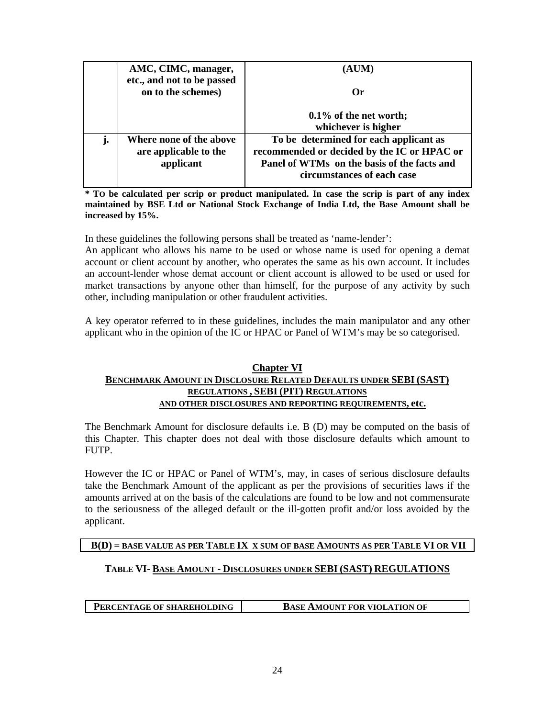|    | AMC, CIMC, manager,                                           | (AUM)                                                                                                                                                              |
|----|---------------------------------------------------------------|--------------------------------------------------------------------------------------------------------------------------------------------------------------------|
|    | etc., and not to be passed<br>on to the schemes)              | Or                                                                                                                                                                 |
|    |                                                               | $0.1\%$ of the net worth;<br>whichever is higher                                                                                                                   |
| j. | Where none of the above<br>are applicable to the<br>applicant | To be determined for each applicant as<br>recommended or decided by the IC or HPAC or<br>Panel of WTMs on the basis of the facts and<br>circumstances of each case |

**\* TO be calculated per scrip or product manipulated. In case the scrip is part of any index maintained by BSE Ltd or National Stock Exchange of India Ltd, the Base Amount shall be increased by 15%.** 

In these guidelines the following persons shall be treated as 'name-lender':

An applicant who allows his name to be used or whose name is used for opening a demat account or client account by another, who operates the same as his own account. It includes an account-lender whose demat account or client account is allowed to be used or used for market transactions by anyone other than himself, for the purpose of any activity by such other, including manipulation or other fraudulent activities.

A key operator referred to in these guidelines, includes the main manipulator and any other applicant who in the opinion of the IC or HPAC or Panel of WTM's may be so categorised.

### **Chapter VI BENCHMARK AMOUNT IN DISCLOSURE RELATED DEFAULTS UNDER SEBI (SAST) REGULATIONS , SEBI (PIT) REGULATIONS AND OTHER DISCLOSURES AND REPORTING REQUIREMENTS, etc.**

The Benchmark Amount for disclosure defaults i.e. B (D) may be computed on the basis of this Chapter. This chapter does not deal with those disclosure defaults which amount to FUTP.

However the IC or HPAC or Panel of WTM's, may, in cases of serious disclosure defaults take the Benchmark Amount of the applicant as per the provisions of securities laws if the amounts arrived at on the basis of the calculations are found to be low and not commensurate to the seriousness of the alleged default or the ill-gotten profit and/or loss avoided by the applicant.

### **B(D) = BASE VALUE AS PER TABLE IX X SUM OF BASE AMOUNTS AS PER TABLE VI OR VII**

### **TABLE VI- BASE AMOUNT - DISCLOSURES UNDER SEBI (SAST) REGULATIONS**

**PERCENTAGE OF SHAREHOLDING BASE AMOUNT FOR VIOLATION OF**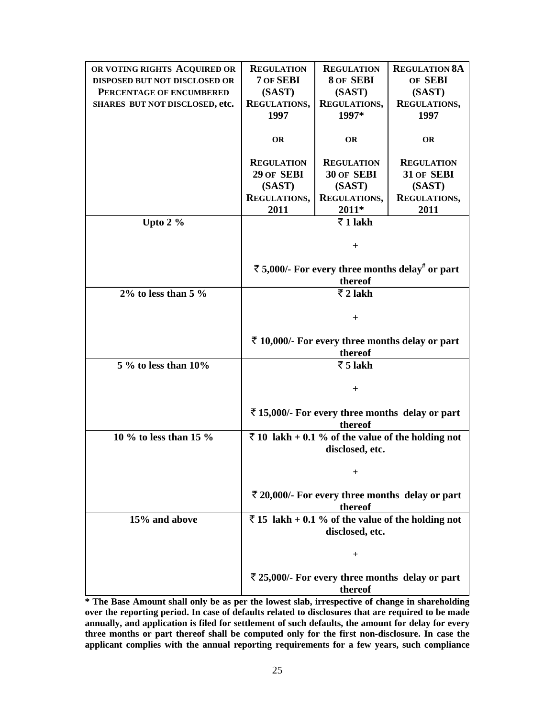| OR VOTING RIGHTS ACQUIRED OR   | <b>REGULATION</b>                                                    | <b>REGULATION</b>                                           | <b>REGULATION 8A</b>                              |
|--------------------------------|----------------------------------------------------------------------|-------------------------------------------------------------|---------------------------------------------------|
| DISPOSED BUT NOT DISCLOSED OR  | 7 OF SEBI                                                            | 8 OF SEBI                                                   | OF SEBI                                           |
| PERCENTAGE OF ENCUMBERED       | (SAST)                                                               | (SAST)                                                      | (SAST)                                            |
| SHARES BUT NOT DISCLOSED, etc. | REGULATIONS,                                                         | REGULATIONS,                                                | REGULATIONS,                                      |
|                                | 1997                                                                 | 1997*                                                       | 1997                                              |
|                                |                                                                      |                                                             |                                                   |
|                                | <b>OR</b>                                                            | <b>OR</b>                                                   | <b>OR</b>                                         |
|                                | <b>REGULATION</b>                                                    | <b>REGULATION</b>                                           | <b>REGULATION</b>                                 |
|                                | 29 OF SEBI                                                           | 30 OF SEBI                                                  | 31 OF SEBI                                        |
|                                | (SAST)                                                               | (SAST)                                                      | (SAST)                                            |
|                                | <b>REGULATIONS,</b>                                                  | REGULATIONS,                                                | REGULATIONS,                                      |
|                                | 2011                                                                 | 2011*                                                       | 2011                                              |
| Upto $2\%$                     |                                                                      | $\overline{z}$ 1 lakh                                       |                                                   |
|                                |                                                                      |                                                             |                                                   |
|                                |                                                                      | $^{+}$                                                      |                                                   |
|                                |                                                                      | ₹ 5,000/- For every three months delay <sup>#</sup> or part |                                                   |
|                                |                                                                      | thereof                                                     |                                                   |
| $2\%$ to less than 5 $\%$      | $\overline{z}$ 2 lakh                                                |                                                             |                                                   |
|                                |                                                                      |                                                             |                                                   |
|                                |                                                                      | $^{+}$                                                      |                                                   |
|                                |                                                                      |                                                             |                                                   |
|                                |                                                                      | ₹ 10,000/- For every three months delay or part             |                                                   |
|                                |                                                                      | thereof                                                     |                                                   |
| $5\%$ to less than $10\%$      |                                                                      | $\overline{5}$ Jakh                                         |                                                   |
|                                |                                                                      |                                                             |                                                   |
|                                |                                                                      | $+$                                                         |                                                   |
|                                |                                                                      |                                                             |                                                   |
|                                |                                                                      |                                                             | ₹15,000/- For every three months delay or part    |
|                                |                                                                      | thereof                                                     |                                                   |
| 10 % to less than 15 %         |                                                                      |                                                             | ₹ 10 lakh + 0.1 % of the value of the holding not |
|                                |                                                                      | disclosed, etc.                                             |                                                   |
|                                |                                                                      |                                                             |                                                   |
|                                |                                                                      | $\ddag$                                                     |                                                   |
|                                |                                                                      |                                                             | ₹ 20,000/- For every three months delay or part   |
|                                |                                                                      | thereof                                                     |                                                   |
| 15% and above                  |                                                                      |                                                             |                                                   |
|                                | ₹ 15 lakh + 0.1 % of the value of the holding not<br>disclosed, etc. |                                                             |                                                   |
|                                |                                                                      |                                                             |                                                   |
|                                |                                                                      | $\ddag$                                                     |                                                   |
|                                |                                                                      |                                                             |                                                   |
|                                |                                                                      |                                                             | ₹ 25,000/- For every three months delay or part   |
|                                |                                                                      | thereof                                                     |                                                   |

**\* The Base Amount shall only be as per the lowest slab, irrespective of change in shareholding over the reporting period. In case of defaults related to disclosures that are required to be made annually, and application is filed for settlement of such defaults, the amount for delay for every three months or part thereof shall be computed only for the first non-disclosure. In case the applicant complies with the annual reporting requirements for a few years, such compliance**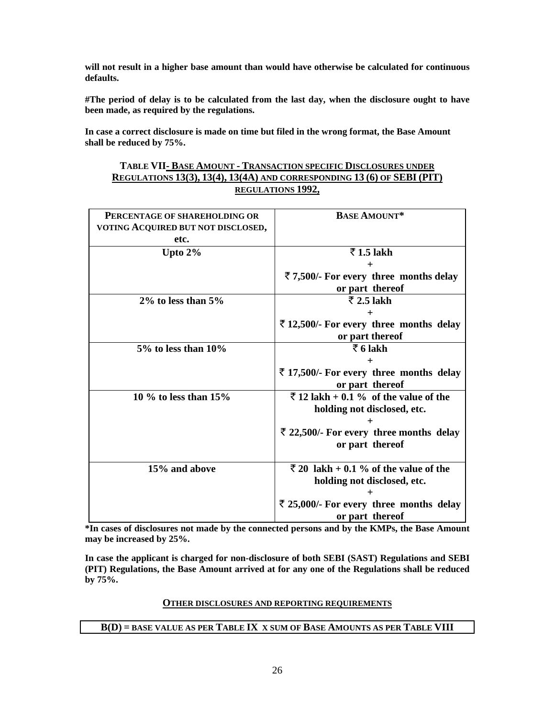**will not result in a higher base amount than would have otherwise be calculated for continuous defaults.** 

**#The period of delay is to be calculated from the last day, when the disclosure ought to have been made, as required by the regulations.** 

**In case a correct disclosure is made on time but filed in the wrong format, the Base Amount shall be reduced by 75%.** 

### **TABLE VII- BASE AMOUNT - TRANSACTION SPECIFIC DISCLOSURES UNDER REGULATIONS 13(3), 13(4), 13(4A) AND CORRESPONDING 13 (6) OF SEBI (PIT) REGULATIONS 1992,**

| PERCENTAGE OF SHAREHOLDING OR<br>VOTING ACQUIRED BUT NOT DISCLOSED,<br>etc. | <b>BASE AMOUNT*</b>                              |
|-----------------------------------------------------------------------------|--------------------------------------------------|
| Upto $2\%$                                                                  | $\overline{5}$ 1.5 lakh                          |
|                                                                             | $\boldsymbol{+}$                                 |
|                                                                             | ₹7,500/- For every three months delay            |
|                                                                             | or part thereof                                  |
| $2\%$ to less than $5\%$                                                    | $\overline{z}$ 2.5 lakh                          |
|                                                                             |                                                  |
|                                                                             | ₹12,500/- For every three months delay           |
|                                                                             | or part thereof                                  |
| $5\%$ to less than $10\%$                                                   | $\bar{z}$ 6 lakh                                 |
|                                                                             |                                                  |
|                                                                             | ₹ 17,500/- For every three months delay          |
|                                                                             | or part thereof                                  |
| 10 % to less than $15%$                                                     | $\bar{\tau}$ 12 lakh + 0.1 % of the value of the |
|                                                                             | holding not disclosed, etc.                      |
|                                                                             |                                                  |
|                                                                             | ₹ 22,500/- For every three months delay          |
|                                                                             | or part thereof                                  |
|                                                                             |                                                  |
| 15% and above                                                               | ₹ 20 lakh + 0.1 % of the value of the            |
|                                                                             | holding not disclosed, etc.                      |
|                                                                             |                                                  |
|                                                                             | ₹ 25,000/- For every three months delay          |
|                                                                             | or part thereof                                  |

**\*In cases of disclosures not made by the connected persons and by the KMPs, the Base Amount may be increased by 25%.** 

**In case the applicant is charged for non-disclosure of both SEBI (SAST) Regulations and SEBI (PIT) Regulations, the Base Amount arrived at for any one of the Regulations shall be reduced by 75%.** 

#### **OTHER DISCLOSURES AND REPORTING REQUIREMENTS**

### **B(D) = BASE VALUE AS PER TABLE IX X SUM OF BASE AMOUNTS AS PER TABLE VIII**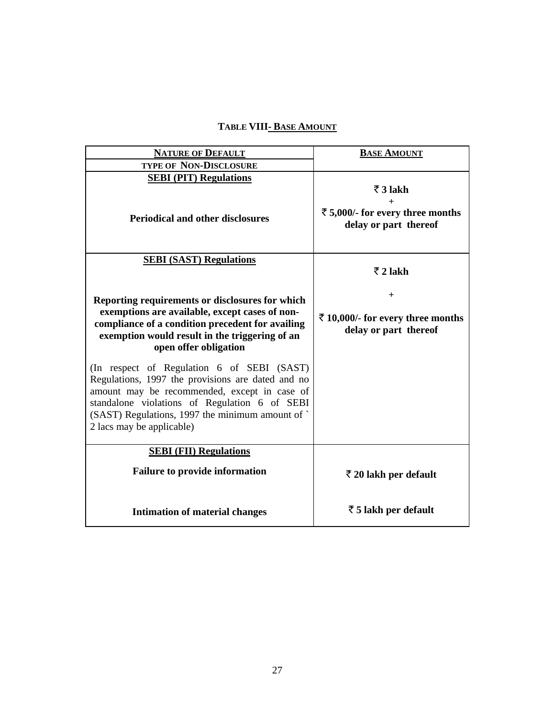# **TABLE VIII- BASE AMOUNT**

| <b>NATURE OF DEFAULT</b>                                                                                                                                                                                                                                                          | <b>BASE AMOUNT</b>                                                            |
|-----------------------------------------------------------------------------------------------------------------------------------------------------------------------------------------------------------------------------------------------------------------------------------|-------------------------------------------------------------------------------|
| <b>TYPE OF NON-DISCLOSURE</b>                                                                                                                                                                                                                                                     |                                                                               |
| <b>SEBI (PIT) Regulations</b><br><b>Periodical and other disclosures</b>                                                                                                                                                                                                          | $\bar{z}$ 3 lakh<br>₹ 5,000/- for every three months<br>delay or part thereof |
| <b>SEBI (SAST) Regulations</b>                                                                                                                                                                                                                                                    | $\overline{z}$ 2 lakh                                                         |
| Reporting requirements or disclosures for which<br>exemptions are available, except cases of non-<br>compliance of a condition precedent for availing<br>exemption would result in the triggering of an<br>open offer obligation                                                  | $\pm$<br>₹ 10,000/- for every three months<br>delay or part thereof           |
| (In respect of Regulation 6 of SEBI (SAST)<br>Regulations, 1997 the provisions are dated and no<br>amount may be recommended, except in case of<br>standalone violations of Regulation 6 of SEBI<br>(SAST) Regulations, 1997 the minimum amount of `<br>2 lacs may be applicable) |                                                                               |
| <b>SEBI</b> (FII) Regulations<br><b>Failure to provide information</b>                                                                                                                                                                                                            | $\bar{\tau}$ 20 lakh per default                                              |
| <b>Intimation of material changes</b>                                                                                                                                                                                                                                             | $\bar{z}$ 5 lakh per default                                                  |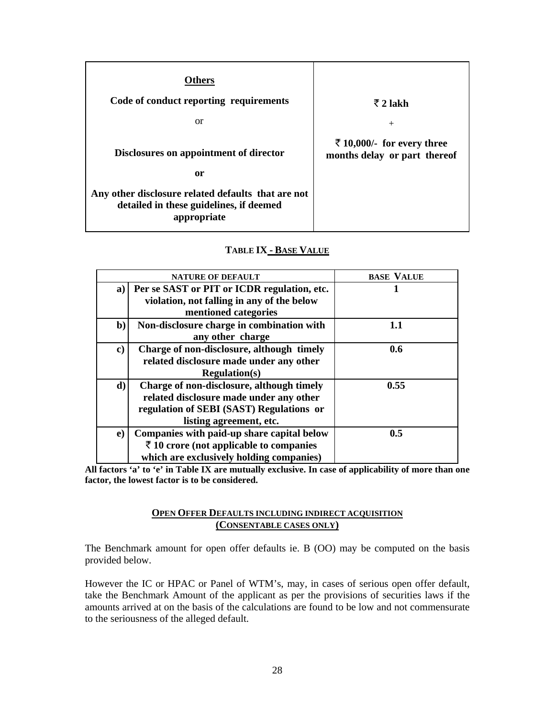| Others<br>Code of conduct reporting requirements<br>or                                                                                                       | $\bar{z}$ 2 lakh<br>$^{+}$                                 |
|--------------------------------------------------------------------------------------------------------------------------------------------------------------|------------------------------------------------------------|
| Disclosures on appointment of director<br>0r<br>Any other disclosure related defaults that are not<br>detailed in these guidelines, if deemed<br>appropriate | ₹ 10,000/- for every three<br>months delay or part thereof |

### **TABLE IX - BASE VALUE**

|              | <b>NATURE OF DEFAULT</b>                                                                                                                                    | <b>BASE VALUE</b> |
|--------------|-------------------------------------------------------------------------------------------------------------------------------------------------------------|-------------------|
| a)           | Per se SAST or PIT or ICDR regulation, etc.<br>violation, not falling in any of the below<br>mentioned categories                                           |                   |
| $\mathbf{b}$ | Non-disclosure charge in combination with<br>any other charge                                                                                               | 1.1               |
| c)           | Charge of non-disclosure, although timely<br>related disclosure made under any other<br><b>Regulation(s)</b>                                                | 0.6               |
| d)           | Charge of non-disclosure, although timely<br>related disclosure made under any other<br>regulation of SEBI (SAST) Regulations or<br>listing agreement, etc. | 0.55              |
| $\bf e)$     | Companies with paid-up share capital below<br>$\bar{z}$ 10 crore (not applicable to companies<br>which are exclusively holding companies)                   | 0.5               |

**All factors 'a' to 'e' in Table IX are mutually exclusive. In case of applicability of more than one factor, the lowest factor is to be considered.** 

### **OPEN OFFER DEFAULTS INCLUDING INDIRECT ACQUISITION (CONSENTABLE CASES ONLY)**

The Benchmark amount for open offer defaults ie. B (OO) may be computed on the basis provided below.

However the IC or HPAC or Panel of WTM's, may, in cases of serious open offer default, take the Benchmark Amount of the applicant as per the provisions of securities laws if the amounts arrived at on the basis of the calculations are found to be low and not commensurate to the seriousness of the alleged default.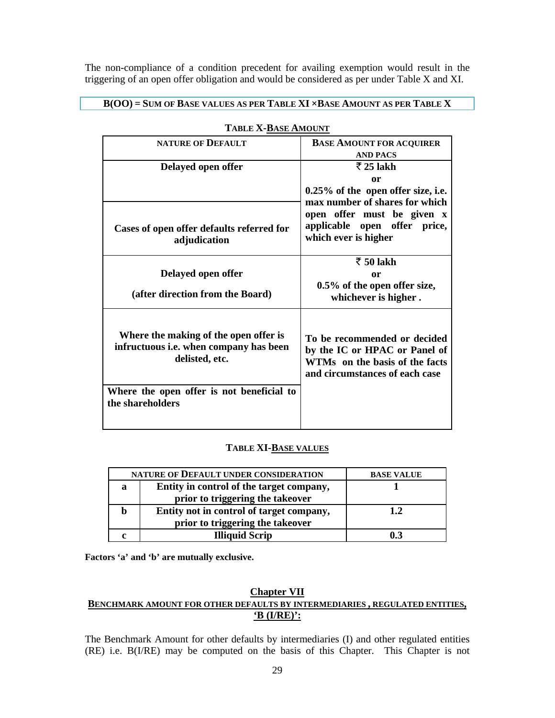The non-compliance of a condition precedent for availing exemption would result in the triggering of an open offer obligation and would be considered as per under Table X and XI.

### **B(OO) = SUM OF BASE VALUES AS PER TABLE XI ×BASE AMOUNT AS PER TABLE X**

| <b>NATURE OF DEFAULT</b>                                                                                                                                                  | <b>BASE AMOUNT FOR ACQUIRER</b><br><b>AND PACS</b>                                                                                |
|---------------------------------------------------------------------------------------------------------------------------------------------------------------------------|-----------------------------------------------------------------------------------------------------------------------------------|
| Delayed open offer                                                                                                                                                        | $\overline{z}$ 25 lakh<br>or                                                                                                      |
|                                                                                                                                                                           | $0.25\%$ of the open offer size, i.e.<br>max number of shares for which                                                           |
| Cases of open offer defaults referred for<br>adjudication                                                                                                                 | open offer must be given x<br>applicable open offer price,<br>which ever is higher                                                |
| Delayed open offer                                                                                                                                                        | $\bar{z}$ 50 lakh<br>or<br>0.5% of the open offer size,                                                                           |
| (after direction from the Board)                                                                                                                                          | whichever is higher.                                                                                                              |
| Where the making of the open offer is<br>infructuous <i>i.e.</i> when company has been<br>delisted, etc.<br>Where the open offer is not beneficial to<br>the shareholders | To be recommended or decided<br>by the IC or HPAC or Panel of<br>WTMs on the basis of the facts<br>and circumstances of each case |
|                                                                                                                                                                           |                                                                                                                                   |

#### **TABLE X-BASE AMOUNT**

### **TABLE XI-BASE VALUES**

|   | NATURE OF DEFAULT UNDER CONSIDERATION    | <b>BASE VALUE</b> |
|---|------------------------------------------|-------------------|
| a | Entity in control of the target company, |                   |
|   | prior to triggering the takeover         |                   |
|   | Entity not in control of target company, | 1.2.              |
|   | prior to triggering the takeover         |                   |
|   | <b>Illiquid Scrip</b>                    | 03                |

**Factors 'a' and 'b' are mutually exclusive.** 

### **Chapter VII BENCHMARK AMOUNT FOR OTHER DEFAULTS BY INTERMEDIARIES , REGULATED ENTITIES, 'B (I/RE)':**

The Benchmark Amount for other defaults by intermediaries (I) and other regulated entities (RE) i.e. B(I/RE) may be computed on the basis of this Chapter. This Chapter is not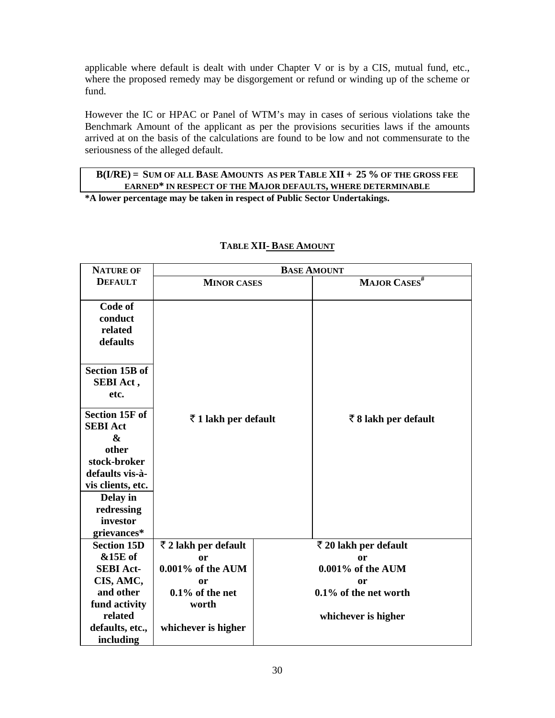applicable where default is dealt with under Chapter V or is by a CIS, mutual fund, etc., where the proposed remedy may be disgorgement or refund or winding up of the scheme or fund.

However the IC or HPAC or Panel of WTM's may in cases of serious violations take the Benchmark Amount of the applicant as per the provisions securities laws if the amounts arrived at on the basis of the calculations are found to be low and not commensurate to the seriousness of the alleged default.

### **B(I/RE) = SUM OF ALL BASE AMOUNTS AS PER TABLE XII + 25 % OF THE GROSS FEE EARNED\* IN RESPECT OF THE MAJOR DEFAULTS, WHERE DETERMINABLE**

**\*A lower percentage may be taken in respect of Public Sector Undertakings.** 

| <b>NATURE OF</b>      | <b>BASE AMOUNT</b>   |  |                               |
|-----------------------|----------------------|--|-------------------------------|
| <b>DEFAULT</b>        | <b>MINOR CASES</b>   |  | MAJOR CASES <sup>#</sup>      |
|                       |                      |  |                               |
| Code of               |                      |  |                               |
| conduct               |                      |  |                               |
| related               |                      |  |                               |
| defaults              |                      |  |                               |
|                       |                      |  |                               |
| <b>Section 15B of</b> |                      |  |                               |
| SEBI Act,             |                      |  |                               |
| etc.                  |                      |  |                               |
| <b>Section 15F of</b> |                      |  |                               |
| <b>SEBI Act</b>       | ₹1 lakh per default  |  | ₹8 lakh per default           |
| $\boldsymbol{\&}$     |                      |  |                               |
| other                 |                      |  |                               |
| stock-broker          |                      |  |                               |
| defaults vis-à-       |                      |  |                               |
| vis clients, etc.     |                      |  |                               |
| Delay in              |                      |  |                               |
| redressing            |                      |  |                               |
| investor              |                      |  |                               |
| grievances*           |                      |  |                               |
| <b>Section 15D</b>    | ₹ 2 lakh per default |  | $\bar{z}$ 20 lakh per default |
| &15E of               | or                   |  | or                            |
| <b>SEBI Act-</b>      | 0.001% of the AUM    |  | 0.001% of the AUM             |
| CIS, AMC,             | or                   |  | or                            |
| and other             | $0.1\%$ of the net   |  | 0.1% of the net worth         |
| fund activity         | worth                |  |                               |
| related               |                      |  | whichever is higher           |
| defaults, etc.,       | whichever is higher  |  |                               |
| including             |                      |  |                               |

### **TABLE XII- BASE AMOUNT**